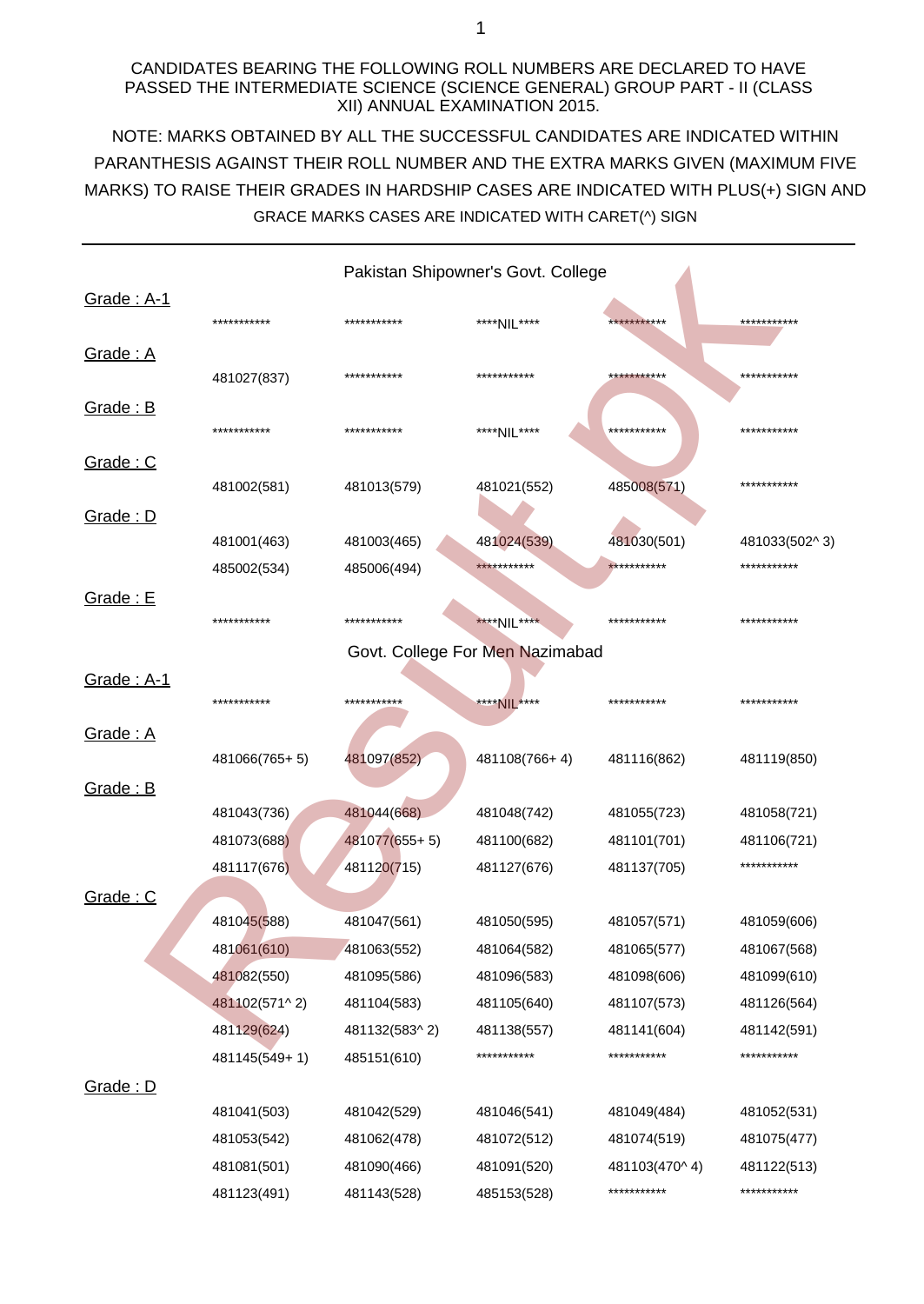### CANDIDATES BEARING THE FOLLOWING ROLL NUMBERS ARE DECLARED TO HAVE PASSED THE INTERMEDIATE SCIENCE (SCIENCE GENERAL) GROUP PART - II (CLASS XII) ANNUAL EXAMINATION 2015.

NOTE: MARKS OBTAINED BY ALL THE SUCCESSFUL CANDIDATES ARE INDICATED WITHIN MARKS) TO RAISE THEIR GRADES IN HARDSHIP CASES ARE INDICATED WITH PLUS(+) SIGN AND PARANTHESIS AGAINST THEIR ROLL NUMBER AND THE EXTRA MARKS GIVEN (MAXIMUM FIVE GRACE MARKS CASES ARE INDICATED WITH CARET(^) SIGN

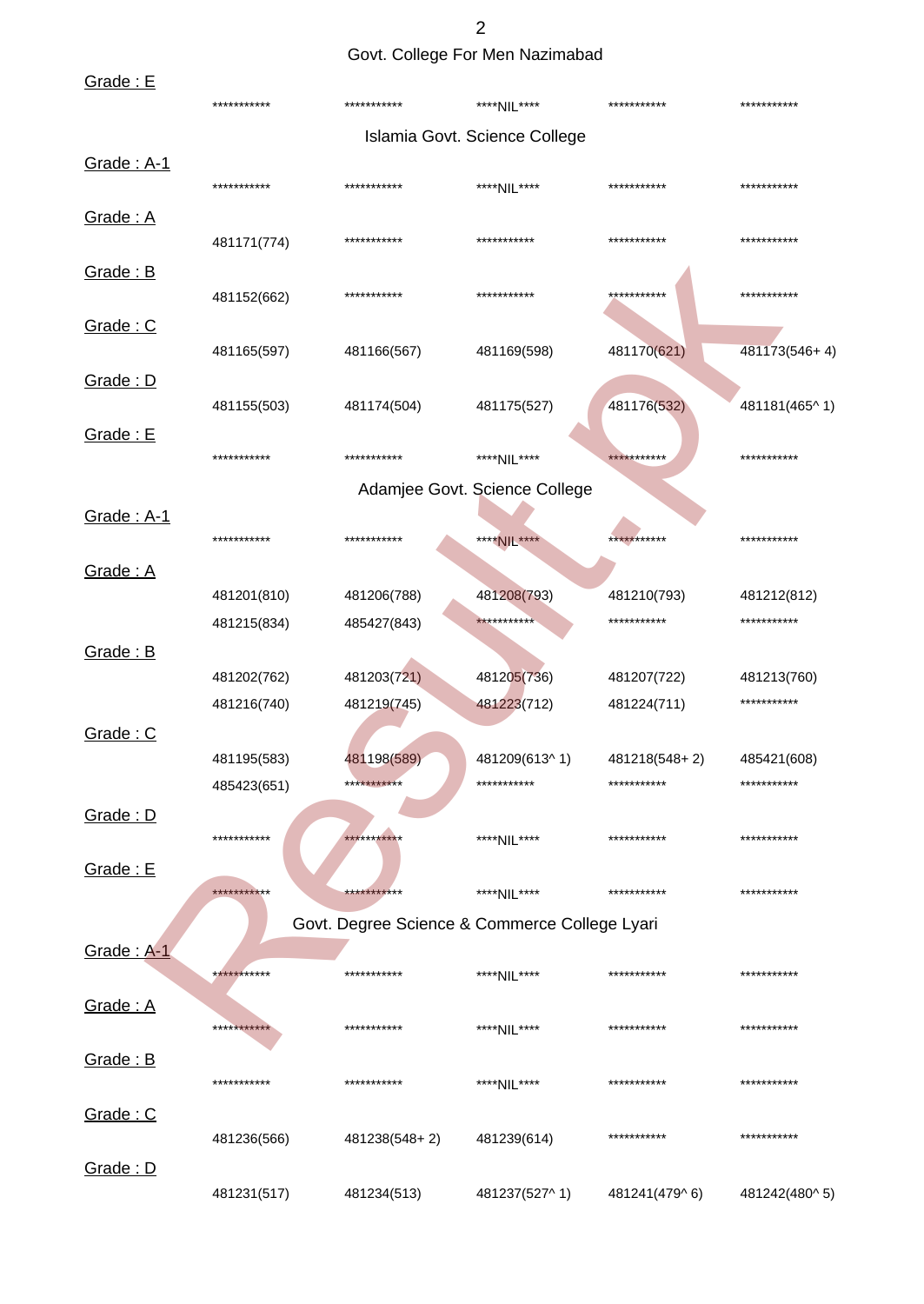2 Govt. College For Men Nazimabad

| Grade: E   |             |               |                                               |               |               |
|------------|-------------|---------------|-----------------------------------------------|---------------|---------------|
|            | *********** | ***********   | ****NIL****                                   | ***********   | ***********   |
|            |             |               | Islamia Govt. Science College                 |               |               |
| Grade: A-1 | *********** | ***********   | ****NII ****                                  | ***********   | ***********   |
| Grade: A   | 481171(774) | ***********   | ***********                                   | ***********   | ***********   |
| Grade: B   | 481152(662) | ***********   | ***********                                   | ***********   | ***********   |
| Grade: C   | 481165(597) | 481166(567)   | 481169(598)                                   | 481170(621)   | 481173(546+4) |
| Grade: D   | 481155(503) | 481174(504)   | 481175(527)                                   | 481176(532)   | 481181(465^1) |
| Grade: E   | *********** | ***********   | ****NIL****                                   | ***********   | ***********   |
|            |             |               | Adamjee Govt. Science College                 |               |               |
| Grade: A-1 | *********** | ***********   | ****NIL****                                   | ***********   | ***********   |
| Grade: A   |             |               |                                               |               |               |
|            | 481201(810) | 481206(788)   | 481208(793)                                   | 481210(793)   | 481212(812)   |
|            | 481215(834) | 485427(843)   | ***********                                   | ***********   | ***********   |
| Grade: B   | 481202(762) | 481203(721)   | 481205(736)                                   | 481207(722)   | 481213(760)   |
|            | 481216(740) | 481219(745)   | 481223(712)                                   | 481224(711)   | ***********   |
| Grade: C   |             |               |                                               |               |               |
|            | 481195(583) | 481198(589)   | 481209(613^1)                                 | 481218(548+2) | 485421(608)   |
|            | 485423(651) | ***********   | ***********                                   | ***********   | ***********   |
| Grade: D   | *********** | ***********   | ****NIL****                                   | ***********   | ***********   |
| Grade: E   |             |               |                                               |               |               |
|            | *********** | ***********   | ****NIL****                                   | ***********   | ***********   |
|            |             |               | Govt. Degree Science & Commerce College Lyari |               |               |
| Grade: A-1 | *********** | ***********   | ****NIL****                                   | ***********   | ***********   |
| Grade: A   | *********** | ***********   | ****NIL****                                   | ***********   | ***********   |
| Grade: B   | *********** | ***********   | ****NIL****                                   | ***********   | ***********   |
| Grade: C   | 481236(566) | 481238(548+2) | 481239(614)                                   | ***********   | ***********   |
| Grade: D   | 481231(517) | 481234(513)   | 481237(527^1)                                 | 481241(479^6) | 481242(480^5) |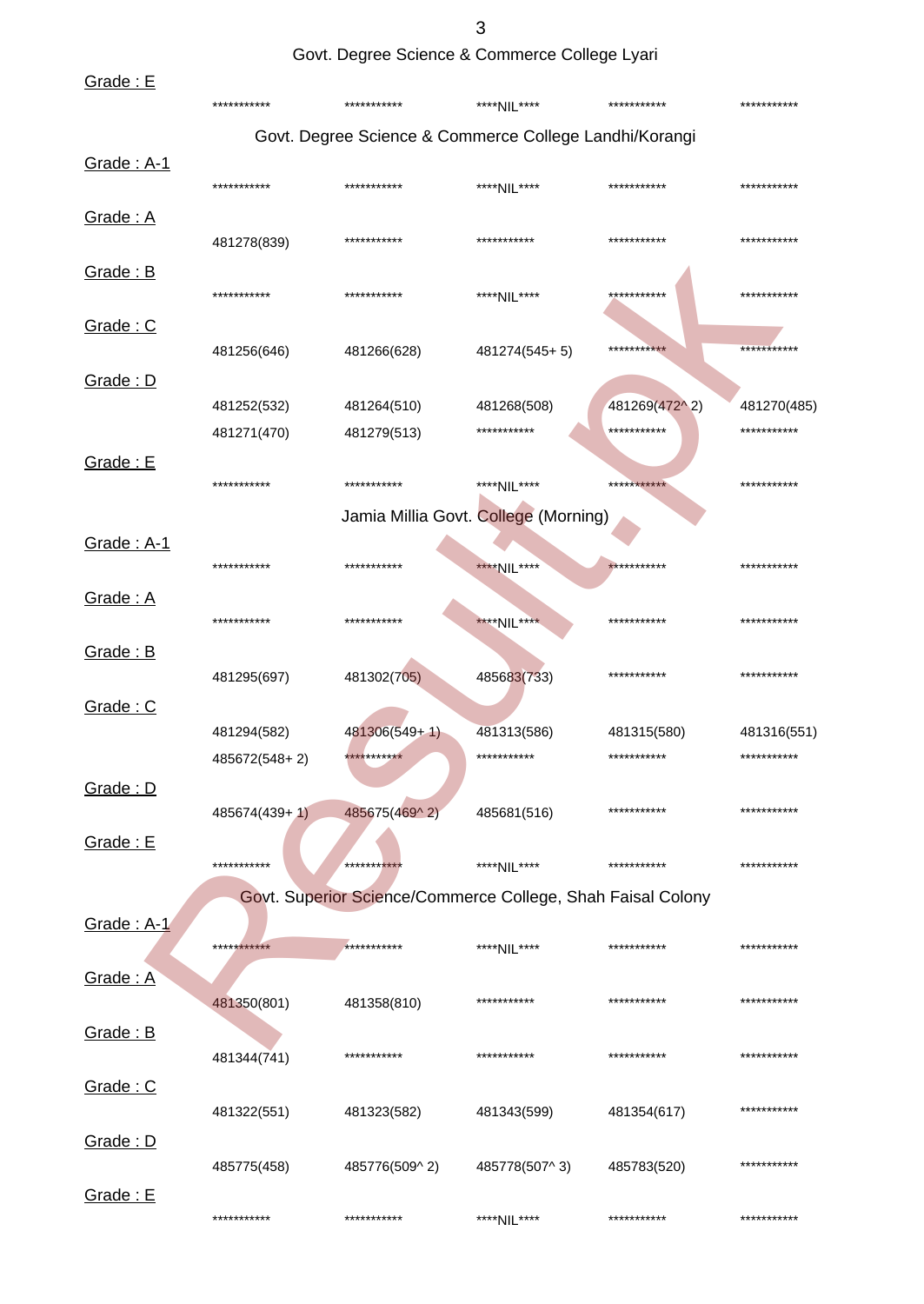3

Govt. Degree Science & Commerce College Lyari

| Grade: E        | ***********   | ***********     | ****NIL****                                                 | ***********   | *********** |
|-----------------|---------------|-----------------|-------------------------------------------------------------|---------------|-------------|
|                 |               |                 | Govt. Degree Science & Commerce College Landhi/Korangi      |               |             |
| Grade: A-1      |               |                 |                                                             |               |             |
|                 | ***********   | ***********     | ****NIL****                                                 | ***********   | *********** |
| Grade: A        | 481278(839)   | ***********     | ***********                                                 | ***********   | *********** |
| Grade: B        | ***********   | ***********     | ****NIL****                                                 | ***********   | *********** |
| Grade: C        | 481256(646)   | 481266(628)     | 481274(545+5)                                               | ***********   | *********** |
| Grade: D        |               |                 |                                                             |               |             |
|                 | 481252(532)   | 481264(510)     | 481268(508)                                                 | 481269(472^2) | 481270(485) |
|                 | 481271(470)   | 481279(513)     | ***********                                                 | ***********   | *********** |
| Grade: E        | ***********   | ***********     | ****NIL****                                                 | ***********   | *********** |
|                 |               |                 | Jamia Millia Govt. College (Morning)                        |               |             |
| Grade: A-1      |               |                 |                                                             |               |             |
|                 | ***********   | ***********     | ****NIL****                                                 | ***********   | *********** |
| <u>Grade: A</u> | ***********   | ***********     | ****NIL****                                                 | ***********   | *********** |
| Grade: B        | 481295(697)   | 481302(705)     | 485683(733)                                                 | ***********   | *********** |
| Grade: C        |               |                 |                                                             |               |             |
|                 | 481294(582)   | $481306(549+1)$ | 481313(586)                                                 | 481315(580)   | 481316(551) |
|                 | 485672(548+2) | ***********     | ***********                                                 | ***********   | *********** |
| Grade: D        |               |                 |                                                             |               |             |
|                 | 485674(439+1) | 485675(469^2)   | 485681(516)                                                 | ***********   | *********** |
| <b>Grade: E</b> | ***********   | ***********     | ****NIL****                                                 | ***********   | *********** |
|                 |               |                 | Govt. Superior Science/Commerce College, Shah Faisal Colony |               |             |
| Grade: A-1      |               |                 |                                                             |               |             |
|                 | ***********   | ***********     | ****NII ****                                                | ***********   | *********** |
| <u>Grade: A</u> | 481350(801)   | 481358(810)     | ***********                                                 | ***********   | *********** |
| Grade: B        |               |                 |                                                             |               |             |
|                 | 481344(741)   | ***********     | ***********                                                 | ***********   | *********** |
| Grade: C        |               |                 |                                                             |               |             |
|                 | 481322(551)   | 481323(582)     | 481343(599)                                                 | 481354(617)   | *********** |
| Grade: D        | 485775(458)   | 485776(509^2)   | 485778(507^3)                                               | 485783(520)   | *********** |
| Grade: E        | ***********   | ***********     | ****NIL****                                                 | ***********   | *********** |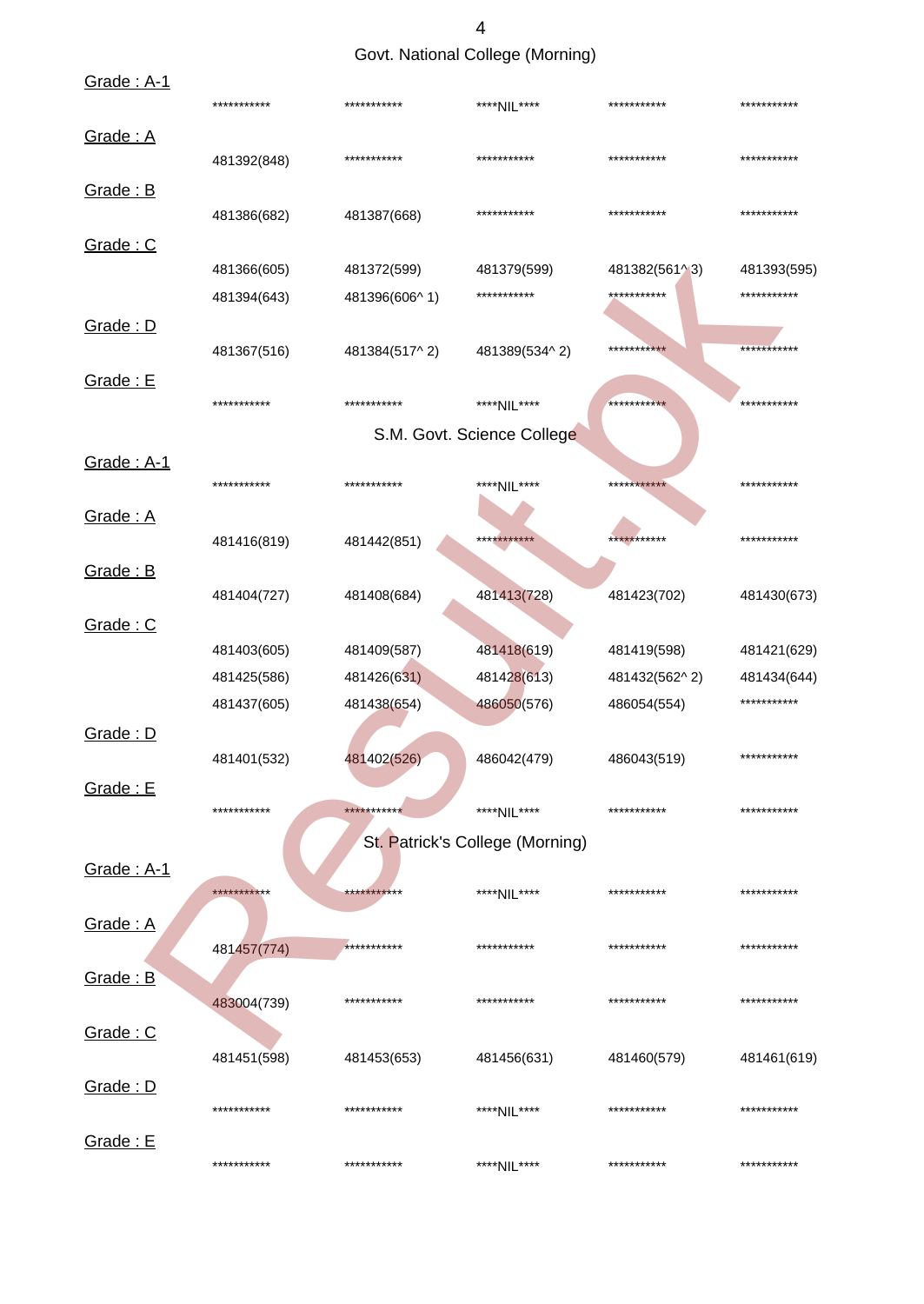Govt. National College (Morning)

| Grade: A-1      | *********** | ***********   | ****NIL****                     | ***********   | *********** |
|-----------------|-------------|---------------|---------------------------------|---------------|-------------|
| Grade: A        | 481392(848) | ***********   | ***********                     | ***********   | *********** |
| Grade: B        |             |               |                                 |               |             |
|                 | 481386(682) | 481387(668)   | ***********                     | ***********   | *********** |
| Grade: C        |             |               |                                 |               |             |
|                 | 481366(605) | 481372(599)   | 481379(599)                     | 481382(561^3) | 481393(595) |
|                 | 481394(643) | 481396(606^1) | ***********                     | ***********   | *********** |
| Grade: D        |             |               |                                 |               |             |
|                 | 481367(516) | 481384(517^2) | 481389(534^2)                   | ***********   | *********** |
| Grade: E        |             |               |                                 |               |             |
|                 | *********** | ***********   | ****NIL****                     | ***********   | *********** |
|                 |             |               | S.M. Govt. Science College      |               |             |
| Grade: A-1      |             |               |                                 |               |             |
|                 | *********** | ***********   | ****NIL****                     | ***********   | *********** |
| Grade: A        |             |               |                                 |               |             |
|                 | 481416(819) | 481442(851)   | ***********                     | ***********   | *********** |
| Grade: B        |             |               |                                 |               |             |
|                 | 481404(727) | 481408(684)   | 481413(728)                     | 481423(702)   | 481430(673) |
| Grade: C        |             |               |                                 |               |             |
|                 | 481403(605) | 481409(587)   | 481418(619)                     | 481419(598)   | 481421(629) |
|                 | 481425(586) | 481426(631)   | 481428(613)                     | 481432(562^2) | 481434(644) |
|                 | 481437(605) | 481438(654)   | 486050(576)                     | 486054(554)   | *********** |
| Grade: D        |             |               |                                 |               |             |
|                 | 481401(532) | 481402(526)   | 486042(479)                     | 486043(519)   | *********** |
| Grade: E        |             |               |                                 |               |             |
|                 | *********** | ***********   | ****NIL****                     | ***********   | *********** |
|                 |             |               | St. Patrick's College (Morning) |               |             |
| Grade: A-1      |             |               |                                 |               |             |
|                 | *********** | ***********   | ****NIL****                     | ***********   | *********** |
| Grade: A        |             |               |                                 |               |             |
|                 | 481457(774) | ***********   | ***********                     | ***********   | *********** |
| Grade: B        |             |               |                                 |               |             |
|                 | 483004(739) | ***********   | ***********                     | ***********   | *********** |
| Grade: C        |             |               |                                 |               |             |
|                 | 481451(598) | 481453(653)   | 481456(631)                     | 481460(579)   | 481461(619) |
| Grade: D        |             |               |                                 |               |             |
|                 | *********** | ***********   | ****NIL****                     | ***********   | *********** |
| <b>Grade: E</b> |             |               |                                 |               |             |
|                 | *********** | ***********   | ****NIL****                     | ***********   | *********** |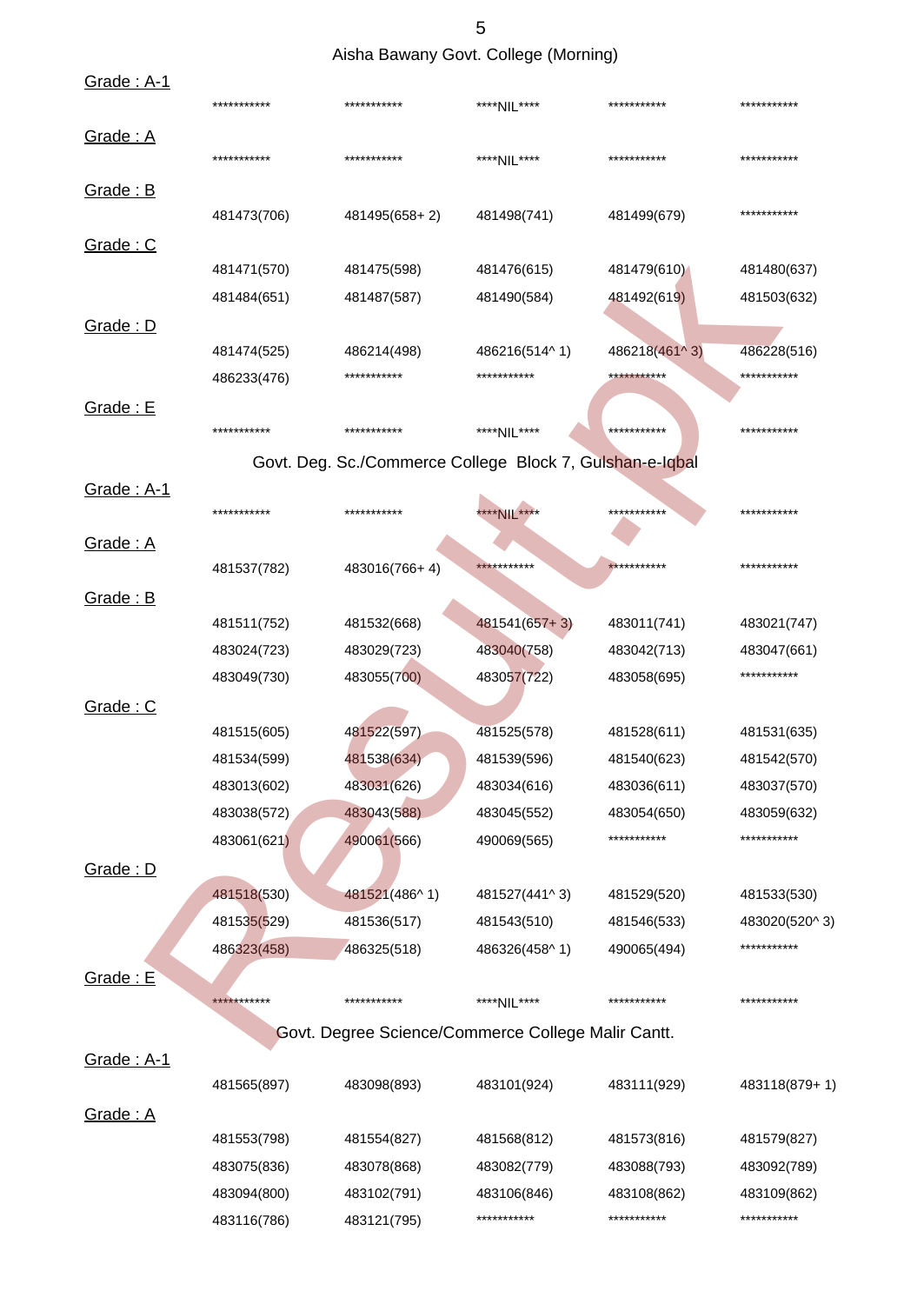Aisha Bawany Govt. College (Morning)

| <u>Grade: A-1</u>        | *********** | ***********                                              | ****NIL****     | ***********   | ***********                |
|--------------------------|-------------|----------------------------------------------------------|-----------------|---------------|----------------------------|
| Grade: A                 | *********** | ***********                                              | ****NIL****     | ***********   | ***********                |
|                          |             |                                                          |                 |               |                            |
| Grade: B                 | 481473(706) | 481495(658+2)                                            | 481498(741)     | 481499(679)   | ***********                |
| Grade: C                 |             |                                                          |                 |               |                            |
|                          | 481471(570) | 481475(598)                                              | 481476(615)     | 481479(610)   | 481480(637)                |
|                          | 481484(651) | 481487(587)                                              | 481490(584)     | 481492(619)   | 481503(632)                |
| Grade: D                 |             |                                                          |                 |               |                            |
|                          | 481474(525) | 486214(498)                                              | 486216(514^1)   | 486218(461^3) | 486228(516)                |
|                          | 486233(476) | ***********                                              | ***********     | ***********   | ***********                |
| Grade: E                 |             |                                                          |                 |               |                            |
|                          | *********** | ***********                                              | ****NIL****     | ***********   | ***********                |
|                          |             | Govt. Deg. Sc./Commerce College Block 7, Gulshan-e-Iqbal |                 |               |                            |
| Grade: A-1               |             |                                                          |                 |               |                            |
|                          | *********** | ***********                                              | **** NIL ****   | ***********   | ***********                |
| Grade: A                 |             |                                                          |                 |               |                            |
|                          | 481537(782) | 483016(766+4)                                            | ***********     | ***********   | ***********                |
| Grade: B                 |             |                                                          |                 |               |                            |
|                          | 481511(752) | 481532(668)                                              | $481541(657+3)$ | 483011(741)   | 483021(747)                |
|                          | 483024(723) | 483029(723)                                              | 483040(758)     | 483042(713)   |                            |
|                          |             |                                                          |                 |               | 483047(661)<br>*********** |
|                          | 483049(730) | 483055(700)                                              | 483057(722)     | 483058(695)   |                            |
| Grade: C                 |             |                                                          |                 |               |                            |
|                          | 481515(605) | 481522(597)                                              | 481525(578)     | 481528(611)   | 481531(635)                |
|                          | 481534(599) | 481538(634)                                              | 481539(596)     | 481540(623)   | 481542(570)                |
|                          | 483013(602) | 483031(626)                                              | 483034(616)     | 483036(611)   | 483037(570)                |
|                          | 483038(572) | 483043(588)                                              | 483045(552)     | 483054(650)   | 483059(632)                |
|                          | 483061(621) | 490061(566)                                              | 490069(565)     | ***********   | ***********                |
| Grade: D                 |             |                                                          |                 |               |                            |
|                          | 481518(530) | 481521(486^1)                                            | 481527(441^3)   | 481529(520)   | 481533(530)                |
|                          | 481535(529) | 481536(517)                                              | 481543(510)     | 481546(533)   | 483020(520^3)              |
|                          | 486323(458) | 486325(518)                                              | 486326(458^1)   | 490065(494)   | ***********                |
| Grade: E                 |             |                                                          |                 |               |                            |
|                          | *********** | ***********                                              | ****NIL****     | ***********   | ***********                |
|                          |             | Govt. Degree Science/Commerce College Malir Cantt.       |                 |               |                            |
| <u><b>Grade: A-1</b></u> |             |                                                          |                 |               |                            |
|                          | 481565(897) | 483098(893)                                              | 483101(924)     | 483111(929)   | 483118(879+1)              |
| Grade: A                 |             |                                                          |                 |               |                            |
|                          | 481553(798) | 481554(827)                                              | 481568(812)     | 481573(816)   | 481579(827)                |
|                          | 483075(836) | 483078(868)                                              | 483082(779)     | 483088(793)   | 483092(789)                |
|                          | 483094(800) | 483102(791)                                              | 483106(846)     | 483108(862)   | 483109(862)                |
|                          | 483116(786) | 483121(795)                                              | ***********     | ***********   | ***********                |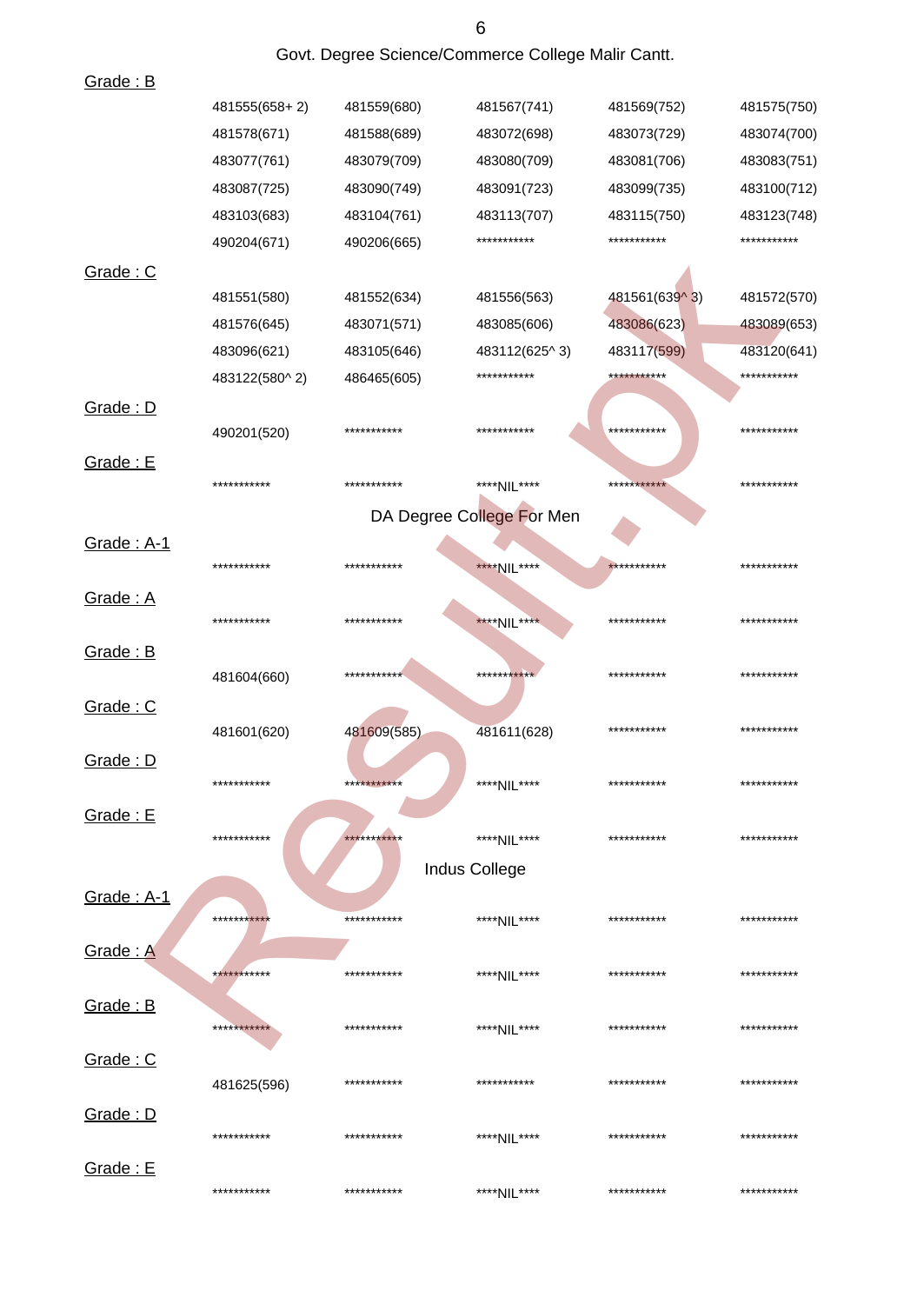|                 |               | Govt. Degree Science/Commerce College Malir Cantt. |                           |               |             |
|-----------------|---------------|----------------------------------------------------|---------------------------|---------------|-------------|
| Grade: B        |               |                                                    |                           |               |             |
|                 | 481555(658+2) | 481559(680)                                        | 481567(741)               | 481569(752)   | 481575(750) |
|                 | 481578(671)   | 481588(689)                                        | 483072(698)               | 483073(729)   | 483074(700) |
|                 | 483077(761)   | 483079(709)                                        | 483080(709)               | 483081(706)   | 483083(751) |
|                 | 483087(725)   | 483090(749)                                        | 483091(723)               | 483099(735)   | 483100(712) |
|                 | 483103(683)   | 483104(761)                                        | 483113(707)               | 483115(750)   | 483123(748) |
|                 | 490204(671)   | 490206(665)                                        | ***********               | ***********   | *********** |
| Grade: C        |               |                                                    |                           |               |             |
|                 | 481551(580)   | 481552(634)                                        | 481556(563)               | 481561(639^3) | 481572(570) |
|                 | 481576(645)   | 483071(571)                                        | 483085(606)               | 483086(623)   | 483089(653) |
|                 | 483096(621)   | 483105(646)                                        | 483112(625^3)             | 483117(599)   | 483120(641) |
|                 | 483122(580^2) | 486465(605)                                        | ***********               | ***********   | *********** |
| Grade: D        |               |                                                    |                           |               |             |
|                 | 490201(520)   | ***********                                        | ***********               | ***********   | *********** |
| Grade: E        |               |                                                    |                           |               |             |
|                 | ***********   | ***********                                        | ****NIL****               | ***********   | *********** |
|                 |               |                                                    | DA Degree College For Men |               |             |
| Grade: A-1      |               |                                                    |                           |               |             |
|                 | ***********   | ***********                                        | ****NIL****               | ***********   | *********** |
| Grade: A        |               |                                                    |                           |               |             |
|                 | ***********   | ***********                                        | ****NIL****               | ***********   | *********** |
| Grade: B        |               |                                                    |                           |               |             |
|                 | 481604(660)   | ***********                                        | ***********               | ***********   | *********** |
| Grade: C        |               |                                                    |                           |               |             |
|                 | 481601(620)   | 481609(585)                                        | 481611(628)               | ***********   | *********** |
| Grade: D        |               |                                                    |                           |               |             |
|                 | ***********   | ***********                                        | ****NIL****               | ***********   | *********** |
| Grade: E        |               |                                                    |                           |               |             |
|                 | ***********   | ***********                                        | ****NII ****              | ***********   | *********** |
|                 |               |                                                    | Indus College             |               |             |
| Grade: A-1      |               |                                                    |                           |               |             |
|                 | ***********   | ***********                                        | ****NIL****               | ***********   | *********** |
| <u>Grade: A</u> |               |                                                    |                           |               |             |
|                 | ***********   | ***********                                        | ****NIL****               | ***********   | *********** |
| <u>Grade: B</u> |               |                                                    |                           |               |             |
|                 | ***********   | ***********                                        | ****NIL****               | ***********   | *********** |
| Grade: C        |               |                                                    |                           |               |             |
|                 | 481625(596)   | ***********                                        | ***********               | ***********   | *********** |
| Grade: D        |               |                                                    |                           |               |             |
|                 | ***********   | ***********                                        | ****NIL****               | ***********   | *********** |
| Grade: E        |               |                                                    |                           |               |             |
|                 | ***********   | ***********                                        | ****NIL****               | ***********   | *********** |

 $\overline{6}$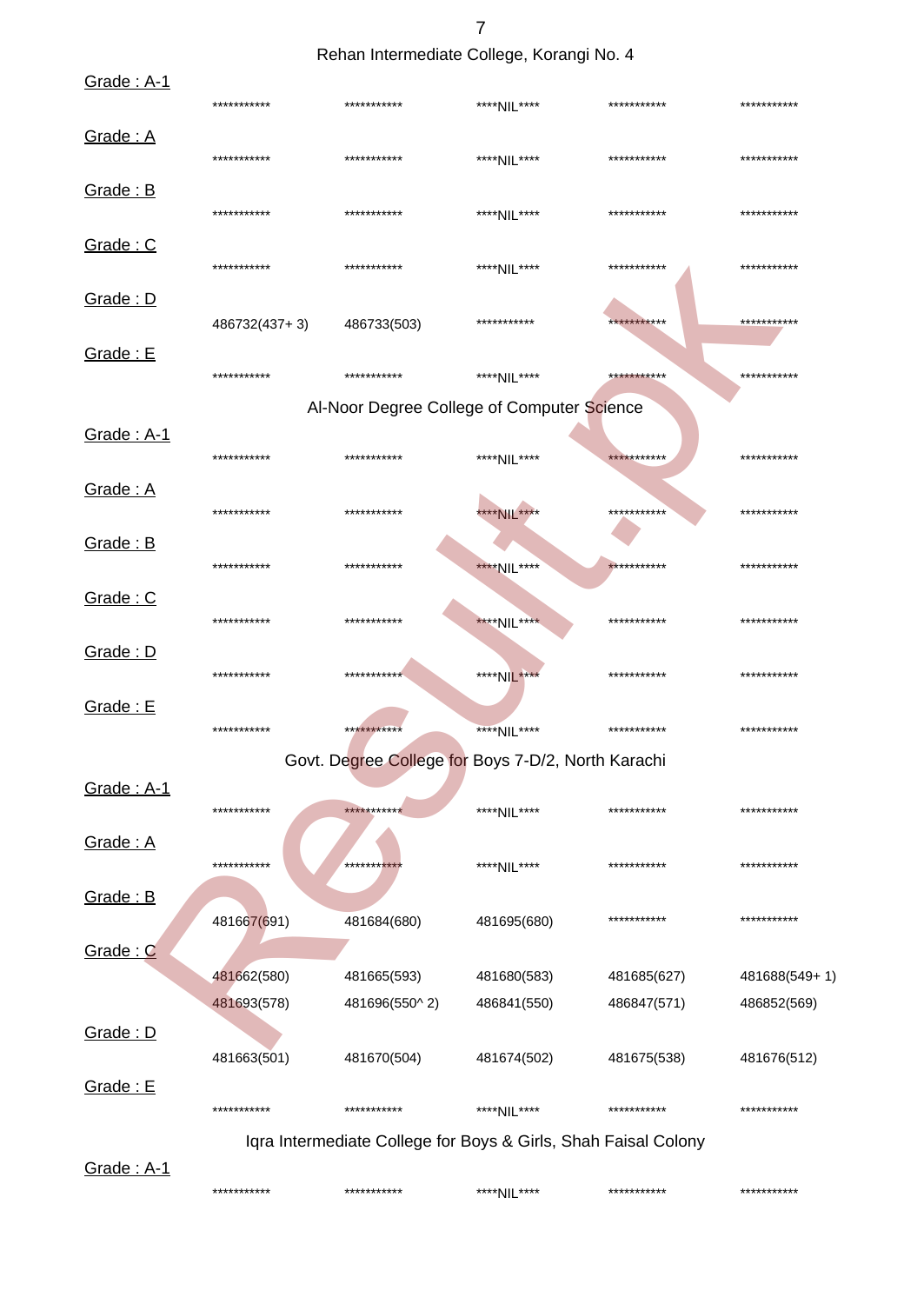7

Rehan Intermediate College, Korangi No. 4

| Grade: A-1               | ***********   | ***********   | ****NIL****                                                    | *********** | ***********   |
|--------------------------|---------------|---------------|----------------------------------------------------------------|-------------|---------------|
| Grade: A                 | ***********   | ***********   | ****NIL****                                                    | *********** | ***********   |
| <b>Grade: B</b>          | ***********   | ***********   | ****NIL****                                                    | *********** | ***********   |
| <u>Grade: C</u>          | ***********   | ***********   | ****NIL****                                                    | *********** | ***********   |
| <b>Grade: D</b>          | 486732(437+3) | 486733(503)   | ***********                                                    | *********** | ***********   |
| <b>Grade: E</b>          | ***********   | ***********   | ****NIL****                                                    | *********** | ***********   |
|                          |               |               | Al-Noor Degree College of Computer Science                     |             |               |
| <u><b>Grade: A-1</b></u> | ***********   | ***********   | ****NIL****                                                    | *********** | ***********   |
| Grade: A                 | ***********   | ***********   | ****NIL****                                                    | *********** | ***********   |
| Grade: B                 | ***********   | ***********   | ****NIL****                                                    | *********** | ***********   |
| Grade: C                 | ***********   | ***********   | ****NIL****                                                    | *********** | ***********   |
| Grade: D                 | ***********   | ***********   | ****NIL****                                                    | *********** | ***********   |
| <b>Grade: E</b>          | ***********   | ***********   | ****NIL****                                                    | *********** | ***********   |
|                          |               |               | Govt. Degree College for Boys 7-D/2, North Karachi             |             |               |
| Grade: A-1               | ***********   | ***********   | ****NIL****                                                    | *********** | ***********   |
| Grade: A                 | ***********   | **********    | ****NIL****                                                    | *********** | ***********   |
| <b>Grade: B</b>          | 481667(691)   | 481684(680)   | 481695(680)                                                    | *********** | ***********   |
| Grade: C                 |               |               |                                                                |             |               |
|                          | 481662(580)   | 481665(593)   | 481680(583)                                                    | 481685(627) | 481688(549+1) |
|                          | 481693(578)   | 481696(550^2) | 486841(550)                                                    | 486847(571) | 486852(569)   |
| Grade: D                 | 481663(501)   | 481670(504)   | 481674(502)                                                    | 481675(538) | 481676(512)   |
| Grade: E                 |               |               |                                                                |             |               |
|                          | ***********   | ***********   | ****NIL****                                                    | *********** | ***********   |
|                          |               |               | Iqra Intermediate College for Boys & Girls, Shah Faisal Colony |             |               |
| Grade: A-1               | ***********   | ***********   | ****NIL****                                                    | *********** | ***********   |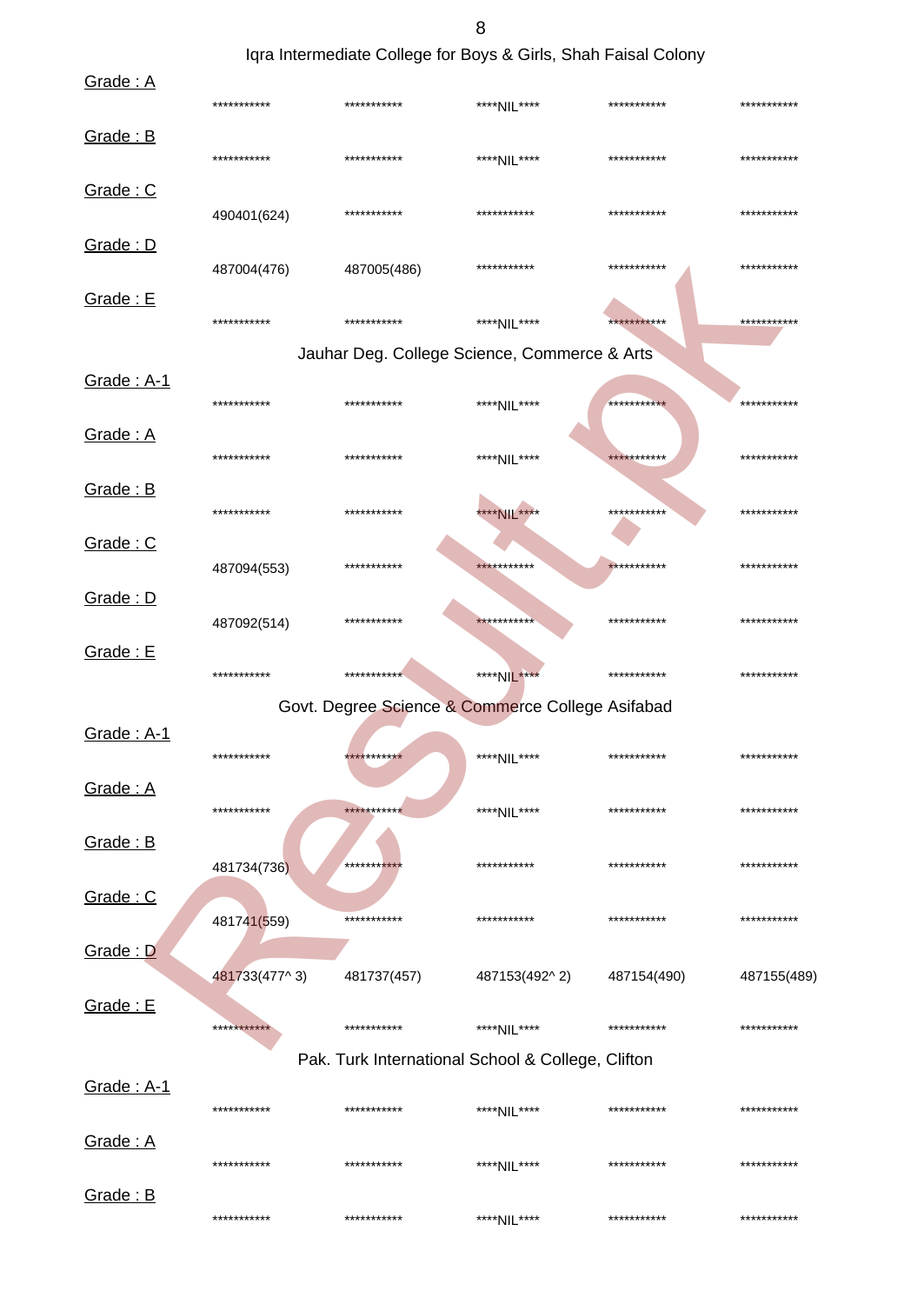Iqra Intermediate College for Boys & Girls, Shah Faisal Colony

| Grade: A          | ***********   | ***********                                       | ****NIL****   | *********** | *********** |
|-------------------|---------------|---------------------------------------------------|---------------|-------------|-------------|
| Grade: B          | ***********   | ***********                                       | ****NIL****   | *********** | *********** |
| Grade: C          | 490401(624)   | ***********                                       | ***********   | *********** | *********** |
| Grade: D          | 487004(476)   | 487005(486)                                       | ***********   | *********** | *********** |
| Grade: E          | ***********   | ***********                                       | ****NIL****   | *********** | *********** |
|                   |               | Jauhar Deg. College Science, Commerce & Arts      |               |             |             |
| Grade: A-1        | ***********   | ***********                                       | ****NIL****   | *********** | *********** |
| Grade: A          | ***********   | ***********                                       | ****NIL****   | *********** | *********** |
| Grade: B          | ***********   | ***********                                       | ****NIL****   | *********** | *********** |
| Grade: C          | 487094(553)   | ***********                                       | ***********   | *********** | *********** |
| Grade: D          | 487092(514)   | ***********                                       | ***********   | *********** | *********** |
| Grade: E          | ***********   | ***********                                       | ****NIL****   | *********** | *********** |
|                   |               | Govt. Degree Science & Commerce College Asifabad  |               |             |             |
| <b>Grade: A-1</b> | ***********   | ***********                                       | ****NIL****   | *********** | *********** |
| Grade: A          | ***********   | ***********                                       | ****NIL****   | *********** | *********** |
| Grade: B          | 481734(736)   | ***********                                       | ***********   | *********** | *********** |
| Grade: C          | 481741(559)   | ***********                                       | ***********   | *********** | *********** |
| Grade: D          | 481733(477^3) | 481737(457)                                       | 487153(492^2) | 487154(490) | 487155(489) |
| Grade: E          | ***********   | ***********                                       | ****NIL****   | *********** | *********** |
|                   |               | Pak. Turk International School & College, Clifton |               |             |             |
| <b>Grade: A-1</b> | ***********   | ***********                                       | ****NIL****   | *********** | *********** |
| Grade: A          | ***********   | ***********                                       | ****NIL****   | *********** | *********** |
| Grade: B          | ***********   | ***********                                       | ****NIL****   | *********** | *********** |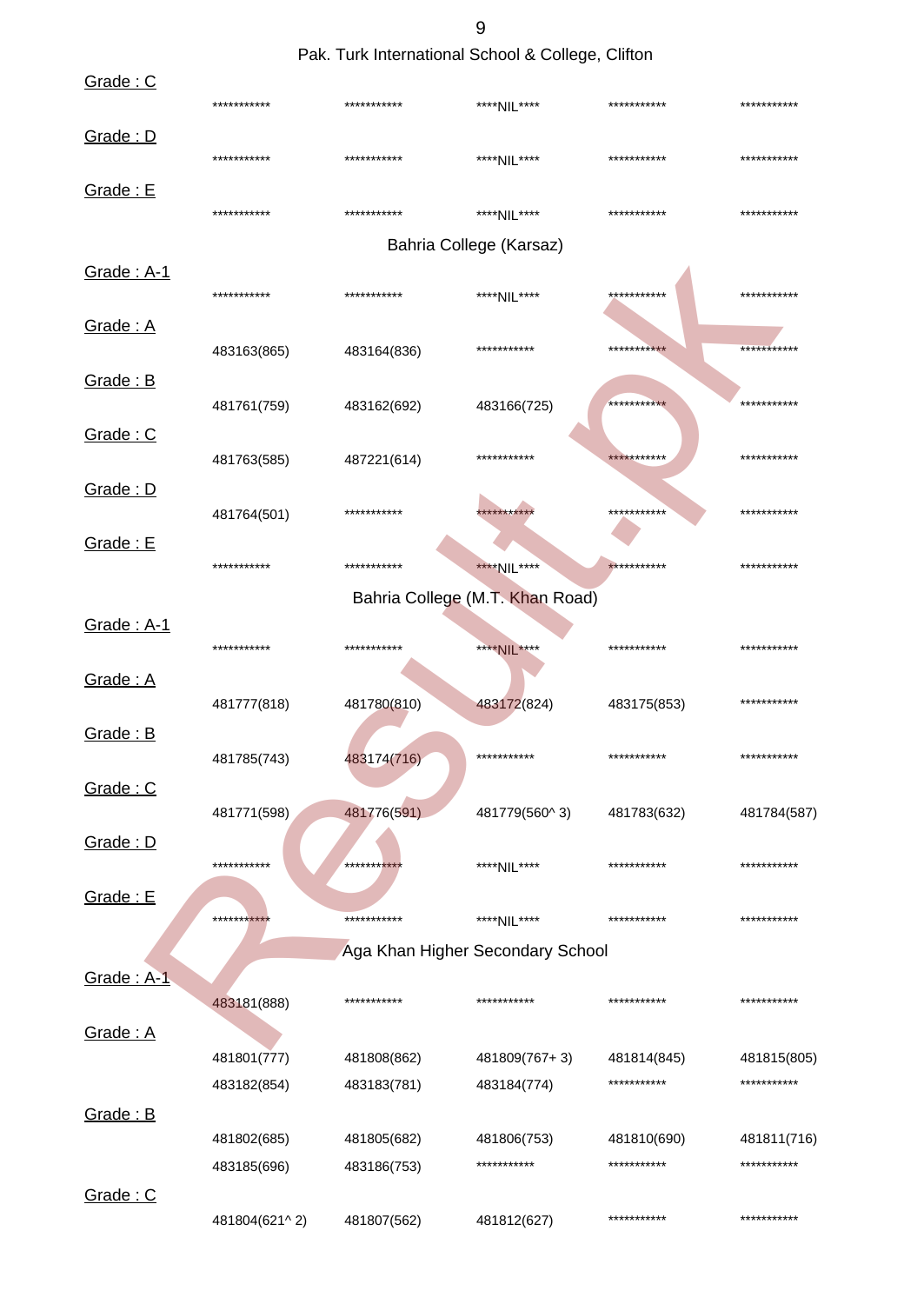Pak. Turk International School & College, Clifton

| Grade: C   | ***********   | *********** | ****NIL****                      | *********** | *********** |
|------------|---------------|-------------|----------------------------------|-------------|-------------|
| Grade: D   | ***********   | *********** | ****NIL****                      | *********** | *********** |
| Grade: E   |               |             |                                  |             |             |
|            | ***********   | *********** | ****NIL****                      | *********** | *********** |
|            |               |             | Bahria College (Karsaz)          |             |             |
| Grade: A-1 | ***********   | *********** | ****NIL****                      | *********** | *********** |
| Grade: A   | 483163(865)   | 483164(836) | ***********                      | *********** | *********** |
| Grade: B   |               |             |                                  |             |             |
|            | 481761(759)   | 483162(692) | 483166(725)                      | *********** | *********** |
| Grade: C   | 481763(585)   | 487221(614) | ***********                      | *********** | *********** |
| Grade: D   |               |             |                                  |             |             |
|            | 481764(501)   | *********** | **********                       | *********** | *********** |
| Grade: E   |               |             |                                  |             |             |
|            | ***********   | *********** | ****NIL****                      | *********** | *********** |
|            |               |             | Bahria College (M.T. Khan Road)  |             |             |
| Grade: A-1 |               |             |                                  |             |             |
|            | ***********   | *********** | ****NIL****                      | *********** | *********** |
| Grade: A   |               |             |                                  |             |             |
|            | 481777(818)   | 481780(810) | 483172(824)                      | 483175(853) | *********** |
| Grade: B   |               |             | ***********                      | *********** | *********** |
|            | 481785(743)   | 483174(716) |                                  |             |             |
| Grade: C   | 481771(598)   | 481776(591) | 481779(560^3)                    | 481783(632) | 481784(587) |
| Grade: D   |               |             |                                  |             |             |
|            | ***********   | **********  | ****NIL****                      | *********** | *********** |
| Grade: E   |               |             |                                  |             |             |
|            | ***********   | *********** | ****NIL****                      | *********** | *********** |
|            |               |             | Aga Khan Higher Secondary School |             |             |
| Grade: A-1 |               |             |                                  |             |             |
|            | 483181(888)   | *********** | ***********                      | *********** | *********** |
| Grade: A   |               |             |                                  |             |             |
|            | 481801(777)   | 481808(862) | 481809(767+3)                    | 481814(845) | 481815(805) |
|            | 483182(854)   | 483183(781) | 483184(774)                      | *********** | *********** |
| Grade: B   |               |             |                                  |             |             |
|            | 481802(685)   | 481805(682) | 481806(753)                      | 481810(690) | 481811(716) |
|            | 483185(696)   | 483186(753) | ***********                      | *********** | *********** |
| Grade: C   |               |             |                                  |             |             |
|            | 481804(621^2) | 481807(562) | 481812(627)                      | *********** | *********** |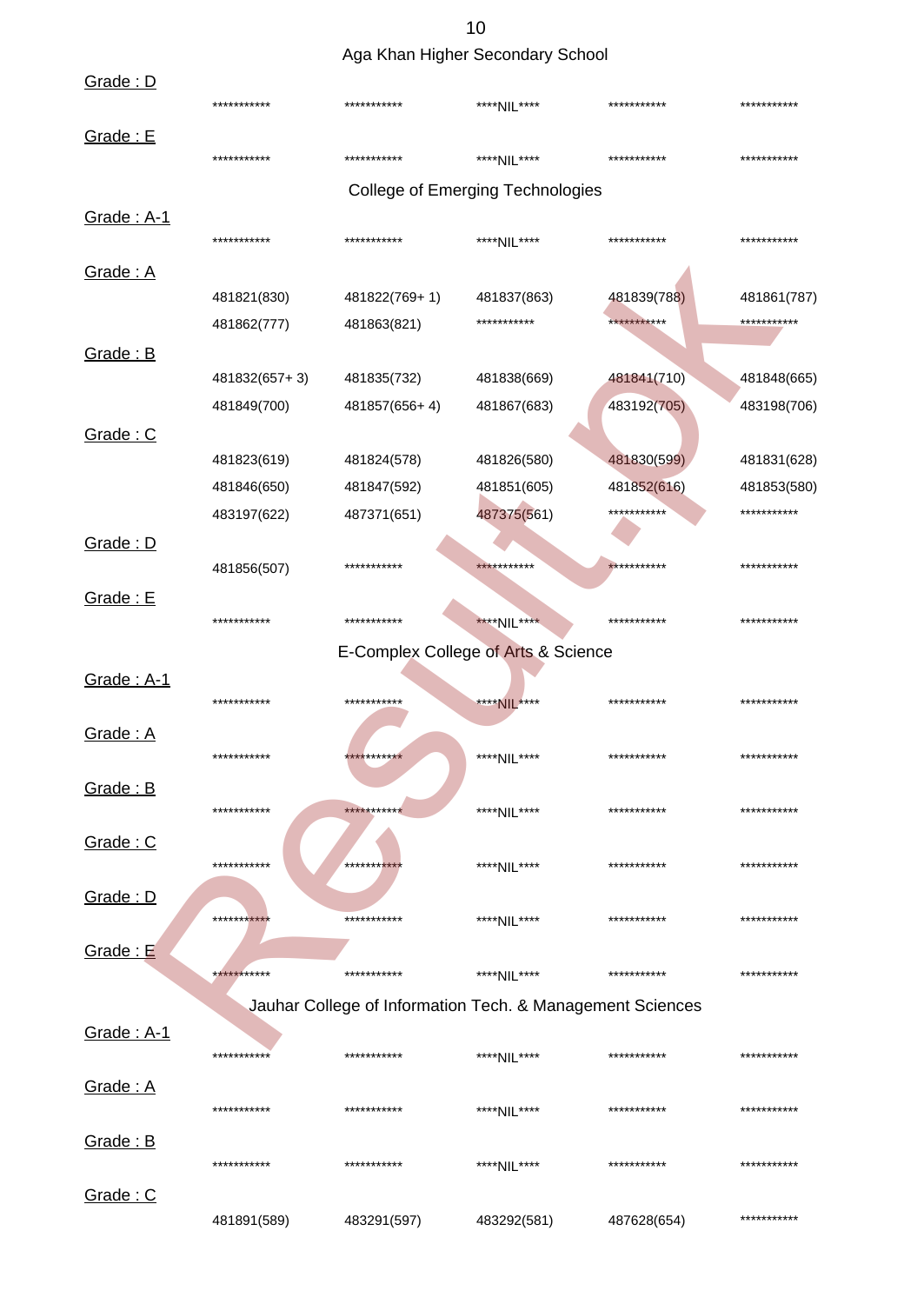Aga Khan Higher Secondary School

| Grade: D        |               | $.94$ an $.9$                                             |                                         |             |             |
|-----------------|---------------|-----------------------------------------------------------|-----------------------------------------|-------------|-------------|
|                 | ***********   | ***********                                               | ****NIL****                             | *********** | *********** |
| Grade: E        | ***********   | ***********                                               | ****NII ****                            | *********** | *********** |
|                 |               |                                                           | <b>College of Emerging Technologies</b> |             |             |
| Grade: A-1      | ***********   | ***********                                               | ****NII ****                            | *********** | *********** |
| Grade: A        |               |                                                           |                                         |             |             |
|                 | 481821(830)   | 481822(769+1)                                             | 481837(863)                             | 481839(788) | 481861(787) |
|                 | 481862(777)   | 481863(821)                                               | ***********                             | *********** | *********** |
| Grade: B        |               |                                                           |                                         |             |             |
|                 | 481832(657+3) | 481835(732)                                               | 481838(669)                             | 481841(710) | 481848(665) |
|                 | 481849(700)   | 481857(656+4)                                             | 481867(683)                             | 483192(705) | 483198(706) |
| Grade: C        |               |                                                           |                                         |             |             |
|                 | 481823(619)   | 481824(578)                                               | 481826(580)                             | 481830(599) | 481831(628) |
|                 | 481846(650)   | 481847(592)                                               | 481851(605)                             | 481852(616) | 481853(580) |
|                 | 483197(622)   | 487371(651)                                               | 487375(561)                             | *********** | *********** |
| Grade: D        |               |                                                           |                                         |             |             |
|                 | 481856(507)   | ***********                                               | ***********                             | *********** | *********** |
| Grade: E        | ***********   | ***********                                               | ****NIL****                             | *********** | *********** |
|                 |               | E-Complex College of Arts & Science                       |                                         |             |             |
| Grade: A-1      |               |                                                           |                                         |             |             |
|                 | ***********   | ***********                                               | ****NIL****                             | *********** | *********** |
| Grade: A        |               |                                                           |                                         |             |             |
|                 | ***********   | ***********                                               | ****NIL****                             | *********** | *********** |
| Grade: B        |               |                                                           |                                         |             |             |
|                 | ***********   | ***********                                               | ****NIL****                             | *********** | *********** |
| Grade: C        |               |                                                           |                                         |             |             |
|                 | ***********   | **********                                                | ****NIL****                             | *********** | *********** |
| <b>Grade: D</b> |               |                                                           |                                         |             |             |
|                 | ************  | ***********                                               | ****NIL****                             | *********** | *********** |
| <b>Grade: E</b> |               |                                                           |                                         |             |             |
|                 | ***********   | ***********                                               | ****NIL****                             | *********** | *********** |
|                 |               | Jauhar College of Information Tech. & Management Sciences |                                         |             |             |
| Grade: A-1      |               |                                                           |                                         |             |             |
|                 | ***********   | ***********                                               | ****NIL****                             | *********** | *********** |
| Grade: A        |               |                                                           |                                         |             |             |
|                 | ***********   | ***********                                               | ****NIL****                             | *********** | *********** |
| Grade: B        |               |                                                           |                                         |             |             |
|                 | ***********   | ***********                                               | ****NIL****                             | *********** | *********** |
| Grade: C        |               |                                                           |                                         |             |             |
|                 | 481891(589)   | 483291(597)                                               | 483292(581)                             | 487628(654) | *********** |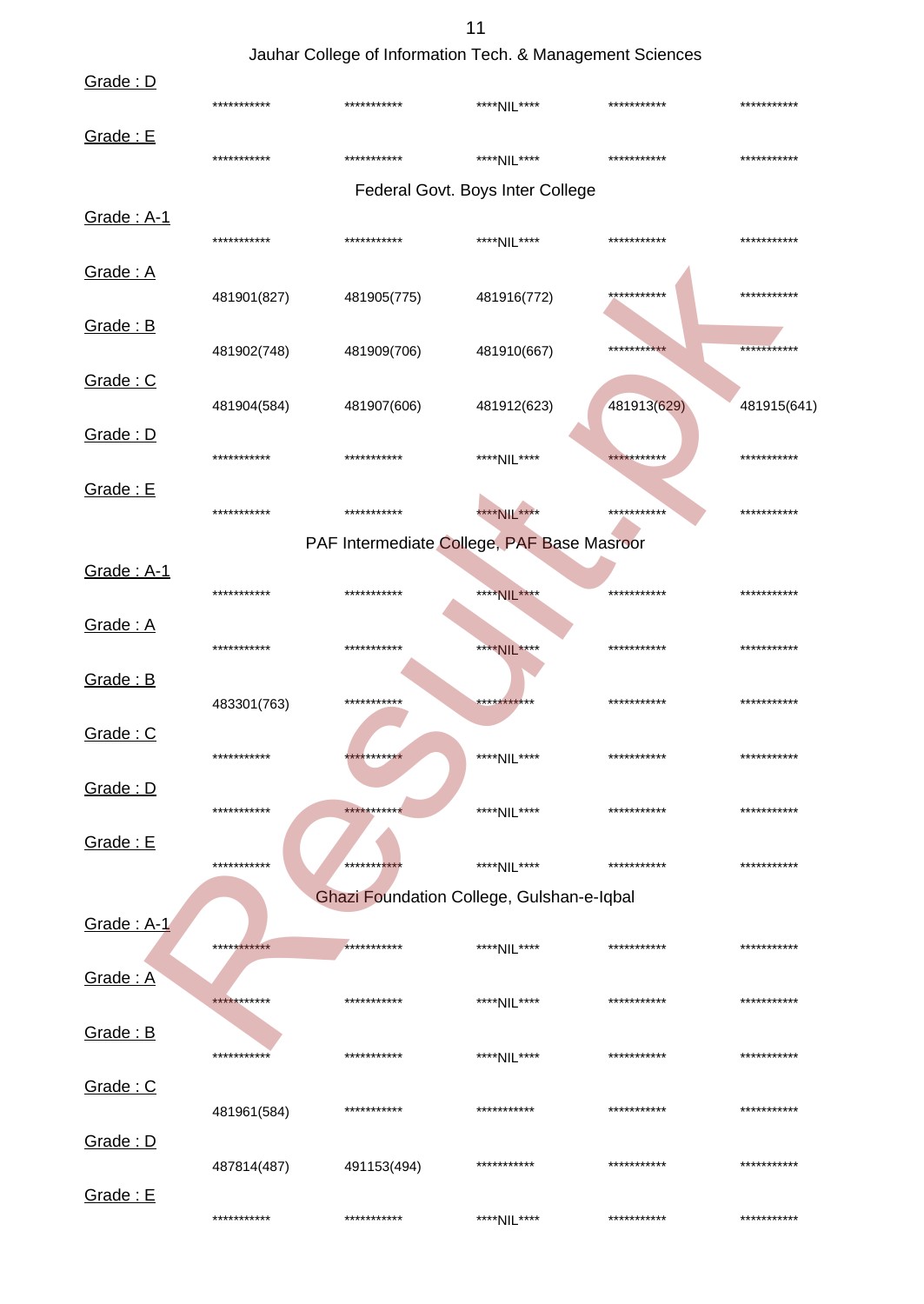### Jauhar College of Information Tech. & Management Sciences

| Grade: D        |             |                                            |                                  |             |             |
|-----------------|-------------|--------------------------------------------|----------------------------------|-------------|-------------|
|                 | *********** | ***********                                | ****NIL****                      | *********** | *********** |
| <b>Grade: E</b> | *********** | ***********                                | ****NIL****                      | *********** | *********** |
|                 |             |                                            | Federal Govt. Boys Inter College |             |             |
| Grade: A-1      |             |                                            |                                  |             |             |
|                 | *********** | ***********                                | ****NII ****                     | *********** | *********** |
| Grade: A        |             |                                            |                                  |             |             |
|                 | 481901(827) | 481905(775)                                | 481916(772)                      | *********** | *********** |
| Grade: B        |             | 481909(706)                                | 481910(667)                      | *********** | *********** |
|                 | 481902(748) |                                            |                                  |             |             |
| Grade: C        | 481904(584) | 481907(606)                                | 481912(623)                      | 481913(629) | 481915(641) |
| Grade: D        |             |                                            |                                  |             |             |
|                 | *********** | ***********                                | ****NII ****                     | *********** | *********** |
| Grade: E        |             |                                            |                                  |             |             |
|                 | *********** | ***********                                | **** NIL ****                    | *********** | *********** |
|                 |             | PAF Intermediate College, PAF Base Masroor |                                  |             |             |
| Grade: A-1      |             |                                            |                                  |             |             |
|                 | *********** | ***********                                | ****NIL****                      | *********** | *********** |
| Grade: A        |             |                                            |                                  |             |             |
|                 | *********** | ***********                                | ****NIL****                      | *********** | *********** |
| Grade: B        |             |                                            |                                  |             |             |
|                 | 483301(763) | ***********                                | ***********                      | *********** | *********** |
| <u>Grade: C</u> |             |                                            |                                  |             |             |
|                 | *********** | ***********                                | ****NIL****                      | *********** | *********** |
| Grade: D        |             |                                            |                                  |             |             |
|                 | *********** | ***********                                | ****NIL****                      | *********** | *********** |
| Grade: E        |             |                                            |                                  |             |             |
|                 | *********** | ***********                                | ****NIL****                      | *********** | *********** |
|                 |             | Ghazi Foundation College, Gulshan-e-Iqbal  |                                  |             |             |
| Grade: A-1      | *********** | ***********                                |                                  | *********** | *********** |
|                 |             |                                            | ****NIL****                      |             |             |
| Grade: A        | *********** | ***********                                | ****NIL****                      | *********** | *********** |
|                 |             |                                            |                                  |             |             |
| Grade: B        | *********** | ***********                                | ****NIL****                      | *********** | *********** |
| Grade: C        |             |                                            |                                  |             |             |
|                 | 481961(584) | ***********                                | ***********                      | *********** | *********** |
| Grade: D        |             |                                            |                                  |             |             |
|                 | 487814(487) | 491153(494)                                | ***********                      | *********** | *********** |
| Grade: E        |             |                                            |                                  |             |             |
|                 | *********** | ***********                                | ****NIL****                      | *********** | *********** |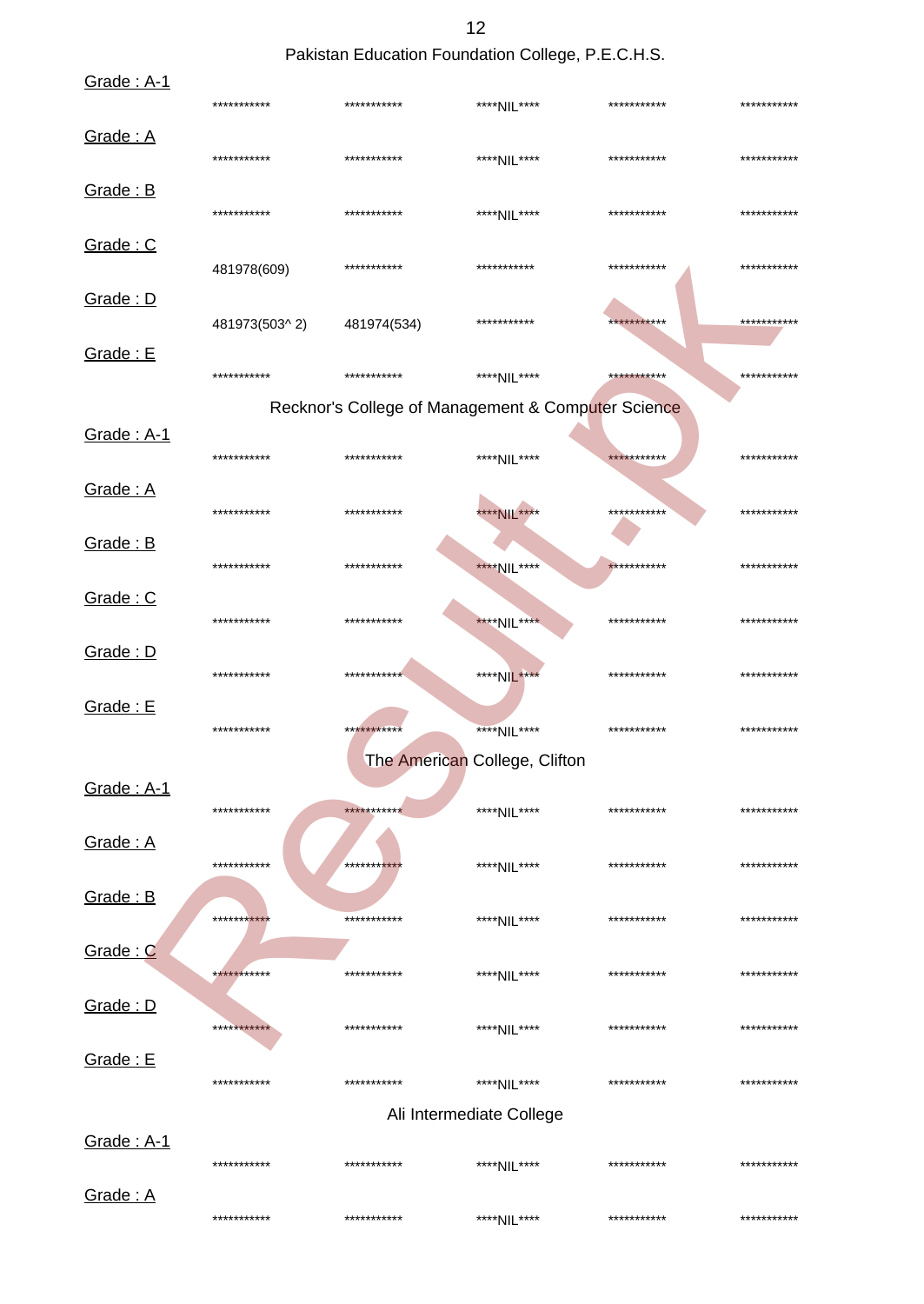Pakistan Education Foundation College, P.E.C.H.S.

| Grade: A-1               | ***********   | *********** | ****NIL****                                        | *********** | *********** |
|--------------------------|---------------|-------------|----------------------------------------------------|-------------|-------------|
| Grade: A                 | ***********   | *********** | ****NIL****                                        | *********** | *********** |
| Grade: B                 | ***********   | *********** | ****NIL****                                        | *********** | *********** |
| Grade: C                 | 481978(609)   | *********** | ***********                                        | *********** | *********** |
| Grade: D                 | 481973(503^2) | 481974(534) | ***********                                        | *********** | *********** |
| Grade: E                 | ***********   | *********** | ****NIL****                                        | *********** | *********** |
|                          |               |             | Recknor's College of Management & Computer Science |             |             |
| Grade: A-1               | ***********   | *********** | ****NIL****                                        | *********** | *********** |
| Grade: A                 | ***********   | *********** | **** NIL ****                                      | *********** | *********** |
| Grade: B                 | ***********   | *********** | ****NIL****                                        | *********** | *********** |
| Grade: C                 | ***********   | *********** | ****NIL****                                        | *********** | *********** |
| Grade: D                 | ***********   | *********** | ****NIL****                                        | *********** | *********** |
| Grade: E                 | ***********   | *********** | ****NIL****                                        | *********** | *********** |
|                          |               |             | The American College, Clifton                      |             |             |
| <u>Grade: A-1</u>        | ***********   | *********** | ****NIL****                                        | *********** | *********** |
| Grade: A                 | ***********   | **********  | ****NIL****                                        | *********** | *********** |
| Grade: B                 | ***********   | *********** | ****NIL****                                        | *********** | *********** |
| Grade: C                 | ***********   | *********** | ****NIL****                                        | *********** | *********** |
| Grade: D                 | ***********   | *********** | ****NIL****                                        | *********** | *********** |
| Grade: E                 | ***********   | *********** | ****NIL****                                        | *********** | *********** |
|                          |               |             | Ali Intermediate College                           |             |             |
| <u><b>Grade: A-1</b></u> | ***********   | *********** | ****NIL****                                        | *********** | *********** |
| Grade: A                 | ***********   | *********** | ****NIL****                                        | *********** | *********** |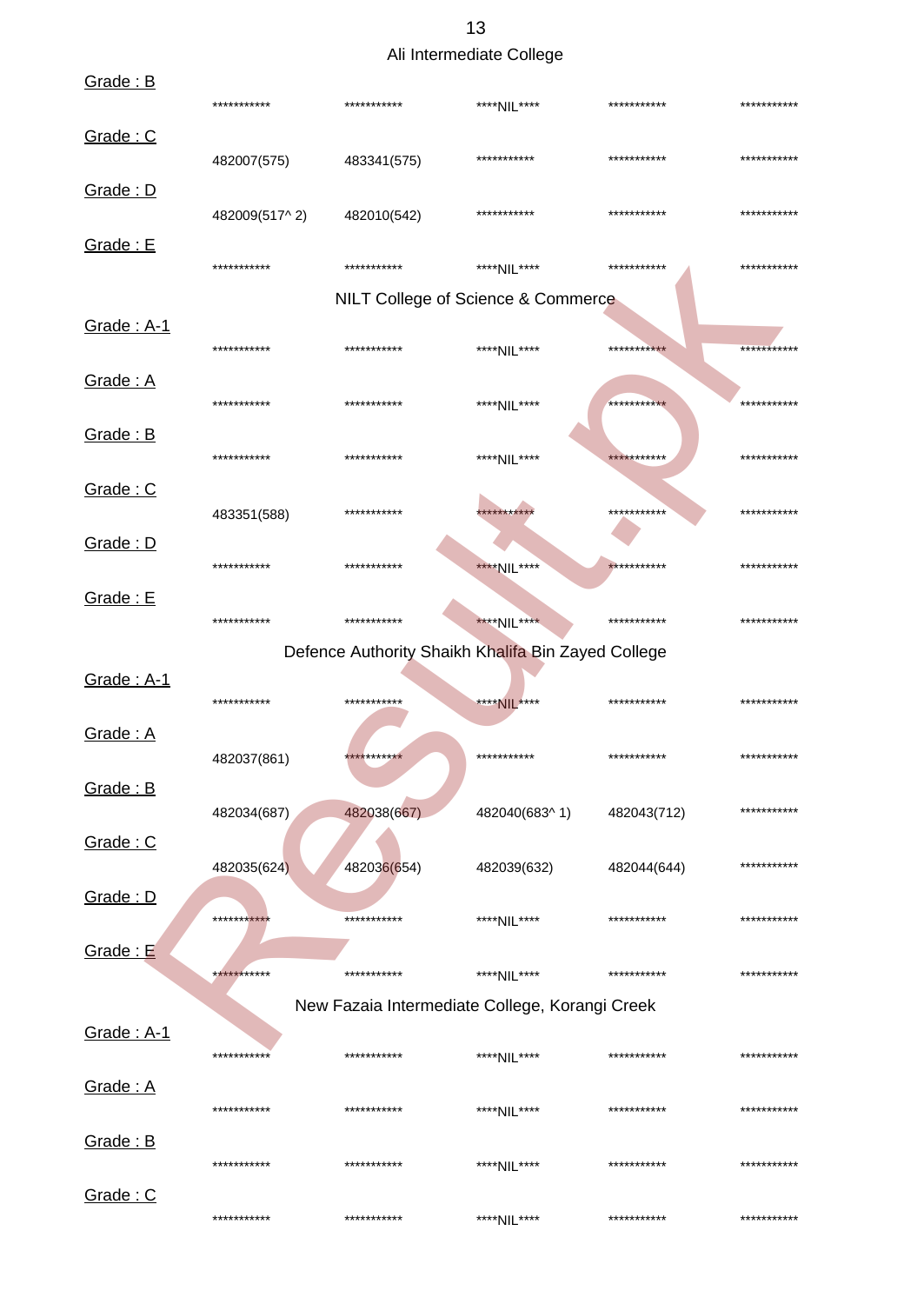|  | Ali Intermediate College |  |
|--|--------------------------|--|
|--|--------------------------|--|

| Grade: B           | ***********   | *********** | ****NIL****                                        | *********** | *********** |
|--------------------|---------------|-------------|----------------------------------------------------|-------------|-------------|
| Grade: C           | 482007(575)   | 483341(575) | ***********                                        | *********** | *********** |
| <u>Grade: D</u>    | 482009(517^2) | 482010(542) | ***********                                        | *********** | *********** |
| <b>Grade: E</b>    | ***********   | *********** | ****NII ****                                       | *********** | *********** |
|                    |               |             | NILT College of Science & Commerce                 |             |             |
| <b>Grade: A-1</b>  | ***********   | *********** | ****NIL****                                        | *********** | *********** |
| Grade: A           | ***********   | *********** | ****NII ****                                       | *********** | *********** |
| Grade: B           | ***********   | *********** | ****NIL****                                        | *********** | *********** |
| Grade: C           | 483351(588)   | *********** | ***********                                        | *********** | *********** |
| Grade: D           | ***********   | *********** | ****NIL****                                        | *********** | *********** |
| Grade: E           | ***********   | *********** | ****NIL****                                        | *********** | *********** |
|                    |               |             |                                                    |             |             |
| Grade: A-1         |               |             | Defence Authority Shaikh Khalifa Bin Zayed College |             |             |
|                    | ***********   | *********** | **** NIL****                                       | *********** | *********** |
| Grade: A           | 482037(861)   | *********** | ***********                                        | *********** | *********** |
| Grade: B           | 482034(687)   | 482038(667) | 482040(683^1)                                      | 482043(712) | *********** |
| <u>Grade: C</u>    | 482035(624)   | 482036(654) | 482039(632)                                        | 482044(644) | *********** |
| <u>Grade: D</u>    | ***********   | *********** | ****NII ****                                       | *********** | *********** |
| <b>Grade: E</b>    | ***********   | *********** | ****NIL****                                        | *********** | *********** |
|                    |               |             | New Fazaia Intermediate College, Korangi Creek     |             |             |
| <u>Grade : A-1</u> | ***********   | *********** | ****NII ****                                       | *********** | *********** |
| <u>Grade: A</u>    | ***********   | *********** | ****NII ****                                       | *********** | *********** |
| <u>Grade: B</u>    | ***********   | *********** | ****NII ****                                       | *********** | *********** |
| Grade: C           | ***********   | *********** | ****NIL****                                        | *********** | *********** |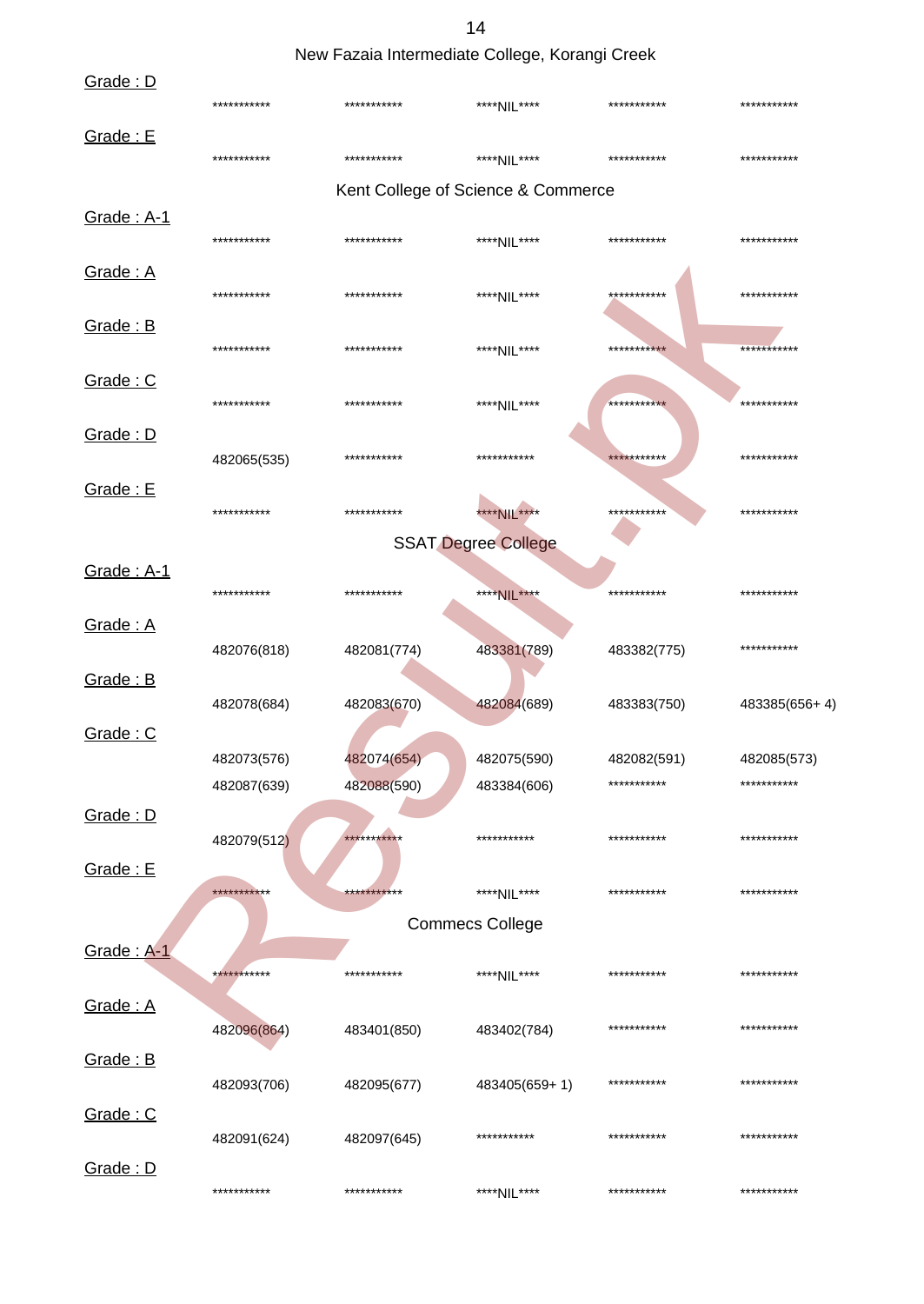New Fazaia Intermediate College, Korangi Creek

| Grade: D   |             |             |                                    |             |               |
|------------|-------------|-------------|------------------------------------|-------------|---------------|
|            | *********** | *********** | ****NIL****                        | *********** | ***********   |
| Grade: E   | *********** | *********** | ****NIL****                        | *********** | ***********   |
|            |             |             | Kent College of Science & Commerce |             |               |
| Grade: A-1 | *********** | *********** | ****NIL****                        | *********** | ***********   |
| Grade: A   | *********** | *********** | ****NIL****                        | *********** | ***********   |
| Grade: B   | *********** | *********** | ****NIL****                        | *********** | ***********   |
| Grade: C   | *********** | *********** | ****NIL****                        | *********** | ***********   |
| Grade: D   | 482065(535) | *********** | ***********                        | *********** | ***********   |
| Grade: E   | *********** | *********** | **** NIL ****                      | *********** | ***********   |
|            |             |             | <b>SSAT Degree College</b>         |             |               |
| Grade: A-1 | *********** | *********** | ****NIL****                        | *********** | ***********   |
| Grade: A   | 482076(818) | 482081(774) | 483381(789)                        | 483382(775) | ***********   |
| Grade: B   | 482078(684) | 482083(670) | 482084(689)                        | 483383(750) | 483385(656+4) |
| Grade: C   | 482073(576) | 482074(654) | 482075(590)                        | 482082(591) | 482085(573)   |
| Grade: D   | 482087(639) | 482088(590) | 483384(606)                        | *********** | ***********   |
| Grade: E   | 482079(512) | *********** | ***********                        | *********** | ***********   |
|            | *********** | *********** | ****NII ****                       | *********** | ***********   |
|            |             |             | <b>Commecs College</b>             |             |               |
| Grade: A-1 | *********** | *********** | ****NIL****                        | *********** | ***********   |
| Grade: A   | 482096(864) | 483401(850) | 483402(784)                        | *********** | ***********   |
| Grade: B   | 482093(706) | 482095(677) | 483405(659+1)                      | *********** | ***********   |
| Grade: C   | 482091(624) | 482097(645) | ***********                        | *********** | ***********   |
| Grade: D   | *********** | *********** | ****NIL****                        | *********** | ***********   |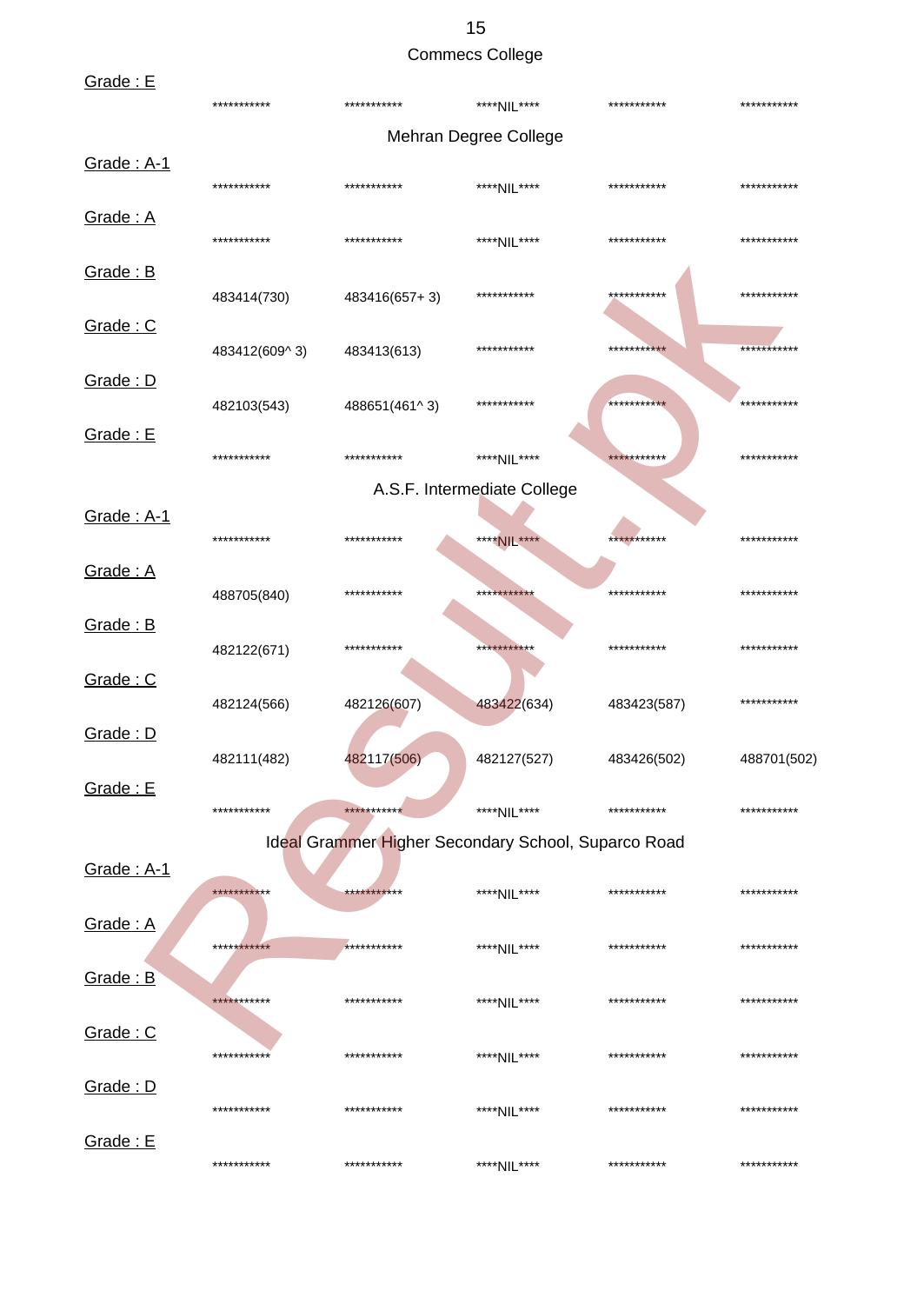### 15 Commecs College

| Grade: E   | ***********   | ***********                                         | ****NII ****                | *********** | *********** |
|------------|---------------|-----------------------------------------------------|-----------------------------|-------------|-------------|
|            |               |                                                     | Mehran Degree College       |             |             |
| Grade: A-1 |               |                                                     |                             |             |             |
|            | ***********   | ***********                                         | ****NIL****                 | *********** | *********** |
| Grade: A   |               |                                                     |                             |             |             |
|            | ***********   | ***********                                         | ****NIL****                 | *********** | *********** |
| Grade: B   |               |                                                     |                             |             |             |
|            | 483414(730)   | 483416(657+3)                                       | ***********                 | *********** | *********** |
| Grade: C   |               |                                                     | ***********                 | *********** | *********** |
| Grade: D   | 483412(609^3) | 483413(613)                                         |                             |             |             |
|            | 482103(543)   | 488651(461^3)                                       | ***********                 | *********** | *********** |
| Grade: E   |               |                                                     |                             |             |             |
|            | ***********   | ***********                                         | ****NII ****                | *********** | *********** |
|            |               |                                                     | A.S.F. Intermediate College |             |             |
| Grade: A-1 |               |                                                     |                             |             |             |
|            | ***********   | ***********                                         | ****NIL****                 | *********** | *********** |
| Grade: A   |               |                                                     |                             |             |             |
|            | 488705(840)   | ***********                                         | ***********                 | *********** | *********** |
| Grade: B   |               | ***********                                         | ***********                 | *********** | *********** |
| Grade: C   | 482122(671)   |                                                     |                             |             |             |
|            | 482124(566)   | 482126(607)                                         | 483422(634)                 | 483423(587) | *********** |
| Grade: D   |               |                                                     |                             |             |             |
|            | 482111(482)   | 482117(506)                                         | 482127(527)                 | 483426(502) | 488701(502) |
| Grade: E   |               |                                                     |                             |             |             |
|            | ***********   | ***********                                         | ****NIL****                 | *********** | *********** |
|            |               | Ideal Grammer Higher Secondary School, Suparco Road |                             |             |             |
| Grade: A-1 |               |                                                     |                             |             |             |
|            | ***********   | ***********                                         | ****NIL****                 | *********** | *********** |
| Grade: A   | ***********   | ***********                                         | ****NIL****                 | *********** | *********** |
| Grade: B   |               |                                                     |                             |             |             |
|            | ***********   | ***********                                         | ****NIL****                 | *********** | *********** |
| Grade: C   |               |                                                     |                             |             |             |
|            | ***********   | ***********                                         | ****NIL****                 | *********** | *********** |
| Grade: D   |               |                                                     |                             |             |             |
|            | ***********   | ***********                                         | ****NIL****                 | *********** | *********** |
| Grade: E   |               |                                                     |                             |             |             |
|            | ***********   | ***********                                         | ****NIL****                 | *********** | *********** |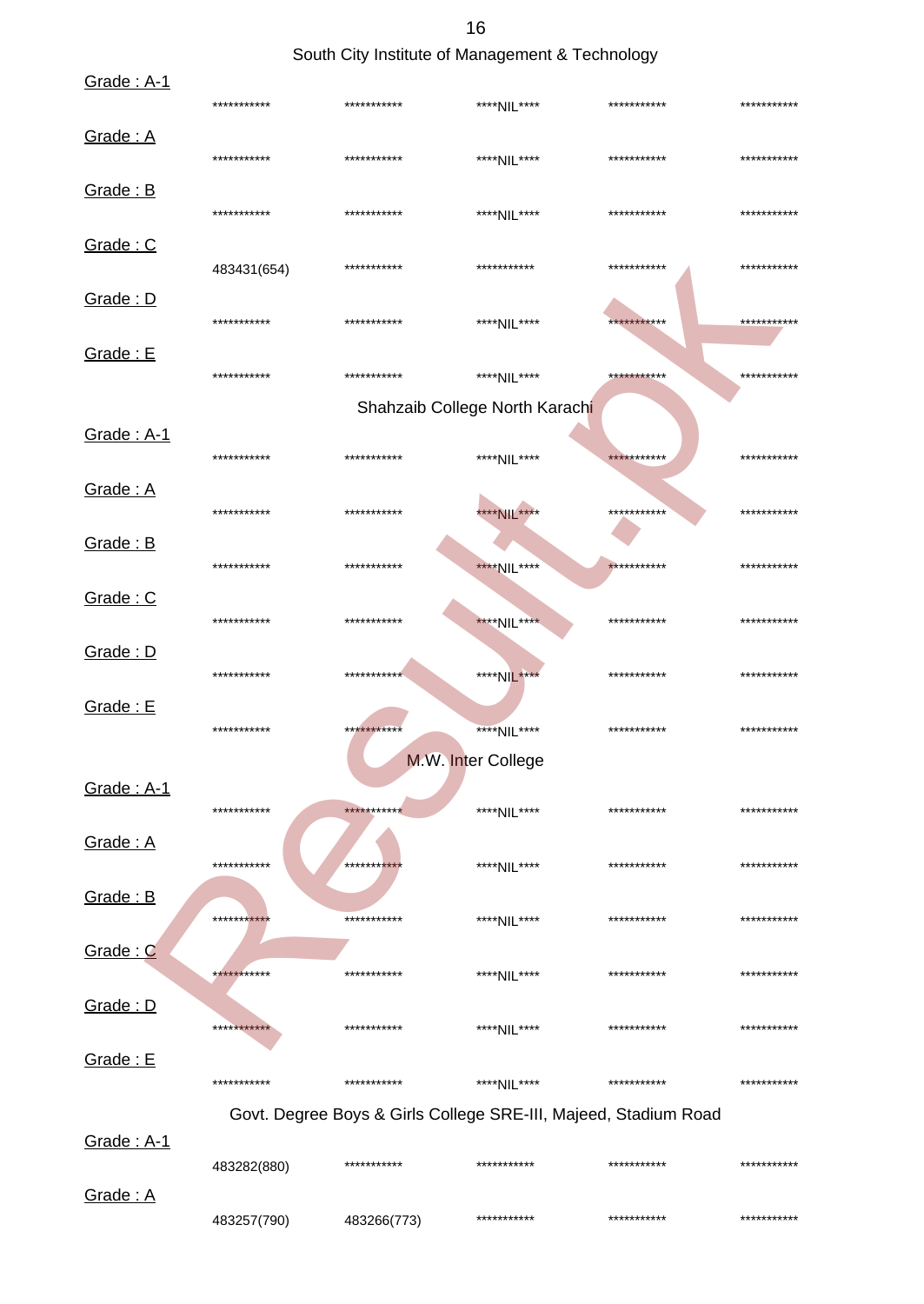16

South City Institute of Management & Technology

| Grade: A-1 | *********** | ***********                                                     | ****NIL****                    | *********** | *********** |
|------------|-------------|-----------------------------------------------------------------|--------------------------------|-------------|-------------|
| Grade: A   | *********** | ***********                                                     | ****NIL****                    | *********** | *********** |
| Grade: B   | *********** | ***********                                                     | ****NIL****                    | *********** | *********** |
| Grade: C   | 483431(654) | ***********                                                     | ***********                    | *********** | *********** |
| Grade: D   | *********** | ***********                                                     | ****NIL****                    | *********** | *********** |
| Grade: E   | *********** | ***********                                                     | ****NIL****                    | *********** | *********** |
|            |             |                                                                 | Shahzaib College North Karachi |             |             |
| Grade: A-1 | *********** | ***********                                                     | ****NIL****                    | *********** | *********** |
| Grade: A   | *********** | ***********                                                     | ****NIL****                    | *********** | *********** |
| Grade: B   | *********** | ***********                                                     | ****NIL****                    | *********** | *********** |
| Grade: C   | *********** | ***********                                                     | ****NIL****                    | *********** | *********** |
| Grade: D   | *********** | ***********                                                     | ****NIL****                    | *********** | *********** |
| Grade: E   | *********** | ***********                                                     | ****NIL****                    | *********** | *********** |
|            |             |                                                                 | M.W. Inter College             |             |             |
| Grade: A-1 | *********** | ***********                                                     | ****NIL****                    | *********** | *********** |
| Grade: A   | *********** | **********                                                      | ****NIL****                    | *********** | *********** |
| Grade: B   | *********** | ***********                                                     | ****NIL****                    | *********** | *********** |
| Grade: C   | *********** | ***********                                                     | ****NIL****                    | *********** | *********** |
| Grade: D   | *********** | ***********                                                     | ****NIL****                    | *********** | *********** |
| Grade: E   | *********** | ***********                                                     | ****NIL****                    | *********** | *********** |
|            |             | Govt. Degree Boys & Girls College SRE-III, Majeed, Stadium Road |                                |             |             |
| Grade: A-1 |             |                                                                 |                                |             |             |
|            | 483282(880) | ***********                                                     | ***********                    | *********** | *********** |
| Grade: A   | 483257(790) | 483266(773)                                                     | ***********                    | *********** | *********** |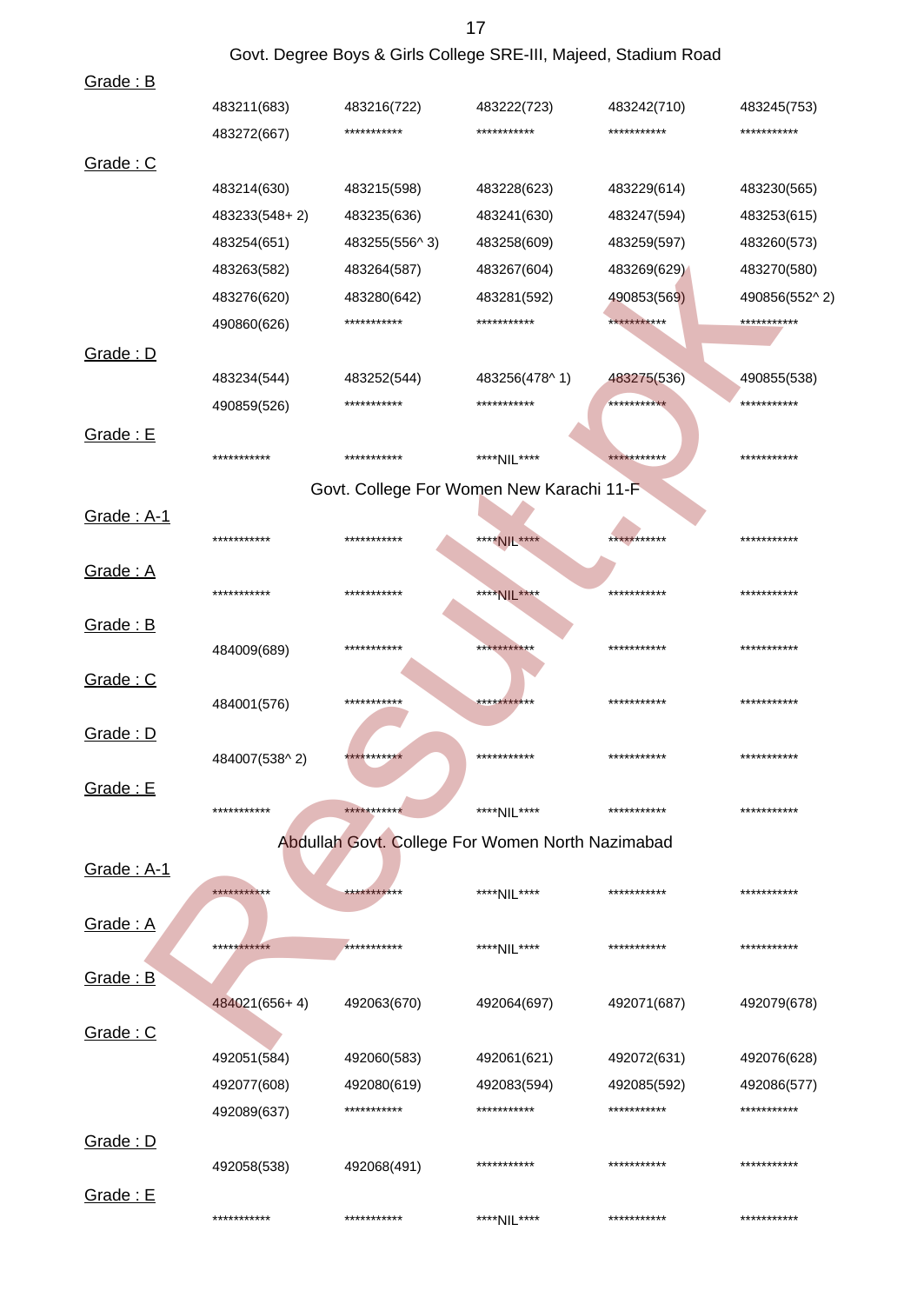|                 |               | Govt. Degree Boys & Girls College SRE-III, Majeed, Stadium Road |               |             |               |
|-----------------|---------------|-----------------------------------------------------------------|---------------|-------------|---------------|
| Grade: B        |               |                                                                 |               |             |               |
|                 | 483211(683)   | 483216(722)                                                     | 483222(723)   | 483242(710) | 483245(753)   |
|                 | 483272(667)   | ***********                                                     | ***********   | *********** | ***********   |
| Grade: C        |               |                                                                 |               |             |               |
|                 | 483214(630)   | 483215(598)                                                     | 483228(623)   | 483229(614) | 483230(565)   |
|                 | 483233(548+2) | 483235(636)                                                     | 483241(630)   | 483247(594) | 483253(615)   |
|                 | 483254(651)   | 483255(556^3)                                                   | 483258(609)   | 483259(597) | 483260(573)   |
|                 | 483263(582)   | 483264(587)                                                     | 483267(604)   | 483269(629) | 483270(580)   |
|                 | 483276(620)   | 483280(642)                                                     | 483281(592)   | 490853(569) | 490856(552^2) |
|                 | 490860(626)   | ***********                                                     | ***********   | *********** | ***********   |
| Grade: D        |               |                                                                 |               |             |               |
|                 | 483234(544)   | 483252(544)                                                     | 483256(478^1) | 483275(536) | 490855(538)   |
|                 | 490859(526)   | ***********                                                     | ***********   | *********** | ***********   |
| Grade: E        |               |                                                                 |               |             |               |
|                 | ***********   | ***********                                                     | ****NIL****   | *********** | ***********   |
|                 |               | Govt. College For Women New Karachi 11-F                        |               |             |               |
| Grade: A-1      |               |                                                                 |               |             |               |
|                 | ***********   | ***********                                                     | ****NIL****   | *********** | ***********   |
| Grade: A        |               |                                                                 |               |             |               |
|                 | ***********   | ***********                                                     | ****NIL****   | *********** | ***********   |
| Grade: B        |               |                                                                 |               |             |               |
|                 | 484009(689)   | ***********                                                     | ***********   | *********** | ***********   |
| Grade: C        |               |                                                                 |               |             |               |
|                 | 484001(576)   | ***********                                                     | ***********   | *********** | ***********   |
| Grade: D        |               |                                                                 |               |             |               |
|                 | 484007(538^2) | ***********                                                     | ***********   | *********** | ***********   |
| <b>Grade: E</b> |               |                                                                 |               |             |               |
|                 | ***********   | ***********                                                     | ****NIL****   | *********** | ***********   |
|                 |               | Abdullah Govt. College For Women North Nazimabad                |               |             |               |
| Grade: A-1      |               |                                                                 |               |             |               |
|                 | ***********   | ***********                                                     | ****NIL****   | *********** | ***********   |
| Grade: A        |               |                                                                 |               |             |               |
|                 | ***********   | ***********                                                     | ****NIL****   | *********** | ***********   |
| Grade: B        |               |                                                                 |               |             |               |
|                 | 484021(656+4) | 492063(670)                                                     | 492064(697)   | 492071(687) | 492079(678)   |
| Grade: C        |               |                                                                 |               |             |               |
|                 | 492051(584)   | 492060(583)                                                     | 492061(621)   | 492072(631) | 492076(628)   |
|                 | 492077(608)   | 492080(619)                                                     | 492083(594)   | 492085(592) | 492086(577)   |
|                 | 492089(637)   | ***********                                                     | ***********   | *********** | ***********   |
|                 |               |                                                                 |               |             |               |
| Grade: D        | 492058(538)   | 492068(491)                                                     | ***********   | *********** | ***********   |
|                 |               |                                                                 |               |             |               |
| Grade: E        | ***********   | ***********                                                     | ****NIL****   | *********** | ***********   |
|                 |               |                                                                 |               |             |               |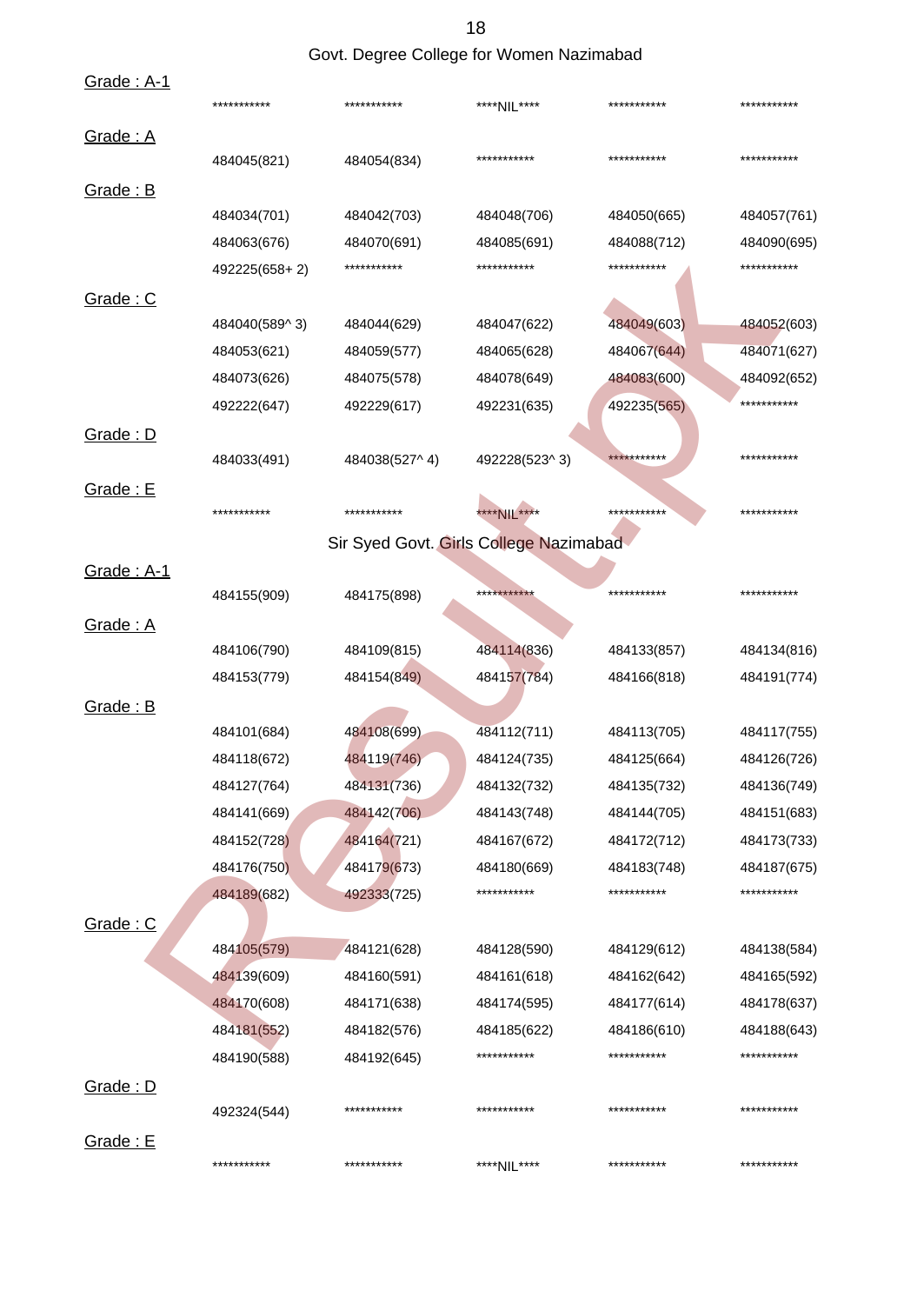### Govt. Degree College for Women Nazimabad

| <u>Grade: A-1</u> | ***********   | ***********                            | ****NIL****   | *********** | *********** |
|-------------------|---------------|----------------------------------------|---------------|-------------|-------------|
| <u>Grade: A</u>   |               |                                        |               |             |             |
|                   | 484045(821)   | 484054(834)                            | ***********   | *********** | *********** |
| <u>Grade: B</u>   |               |                                        |               |             |             |
|                   | 484034(701)   | 484042(703)                            | 484048(706)   | 484050(665) | 484057(761) |
|                   | 484063(676)   | 484070(691)                            | 484085(691)   | 484088(712) | 484090(695) |
|                   | 492225(658+2) | ***********                            | ***********   | *********** | *********** |
| Grade: C          |               |                                        |               |             |             |
|                   | 484040(589^3) | 484044(629)                            | 484047(622)   | 484049(603) | 484052(603) |
|                   | 484053(621)   | 484059(577)                            | 484065(628)   | 484067(644) | 484071(627) |
|                   | 484073(626)   | 484075(578)                            | 484078(649)   | 484083(600) | 484092(652) |
|                   | 492222(647)   | 492229(617)                            | 492231(635)   | 492235(565) | *********** |
| Grade: D          |               |                                        |               |             |             |
|                   | 484033(491)   | 484038(527^4)                          | 492228(523^3) | *********** | *********** |
| Grade: E          |               |                                        |               |             |             |
|                   | ***********   | ***********                            | **** NIL **** | *********** | *********** |
|                   |               | Sir Syed Govt. Girls College Nazimabad |               |             |             |
| Grade: A-1        |               |                                        |               |             |             |
|                   | 484155(909)   | 484175(898)                            | ***********   | *********** | *********** |
| Grade: A          |               |                                        |               |             |             |
|                   | 484106(790)   | 484109(815)                            | 484114(836)   | 484133(857) | 484134(816) |
|                   | 484153(779)   | 484154(849)                            | 484157(784)   | 484166(818) | 484191(774) |
| Grade: B          |               |                                        |               |             |             |
|                   | 484101(684)   | 484108(699)                            | 484112(711)   | 484113(705) | 484117(755) |
|                   | 484118(672)   | 484119(746)                            | 484124(735)   | 484125(664) | 484126(726) |
|                   | 484127(764)   | 484131(736)                            | 484132(732)   | 484135(732) | 484136(749) |
|                   | 484141(669)   | 484142(706)                            | 484143(748)   | 484144(705) | 484151(683) |
|                   | 484152(728)   | 484164(721)                            | 484167(672)   | 484172(712) | 484173(733) |
|                   | 484176(750)   | 484179(673)                            | 484180(669)   | 484183(748) | 484187(675) |
|                   | 484189(682)   | 492333(725)                            | ***********   | *********** | *********** |
| <u>Grade: C</u>   |               |                                        |               |             |             |
|                   | 484105(579)   | 484121(628)                            | 484128(590)   | 484129(612) | 484138(584) |
|                   | 484139(609)   | 484160(591)                            | 484161(618)   | 484162(642) | 484165(592) |
|                   | 484170(608)   | 484171(638)                            | 484174(595)   | 484177(614) | 484178(637) |
|                   | 484181(552)   | 484182(576)                            | 484185(622)   | 484186(610) | 484188(643) |
|                   | 484190(588)   | 484192(645)                            | ***********   | *********** | *********** |
| Grade: D          |               |                                        |               |             |             |
|                   | 492324(544)   | ***********                            | ***********   | *********** | *********** |
| Grade: E          |               |                                        |               |             |             |
|                   | ***********   | ***********                            | ****NIL****   | *********** | *********** |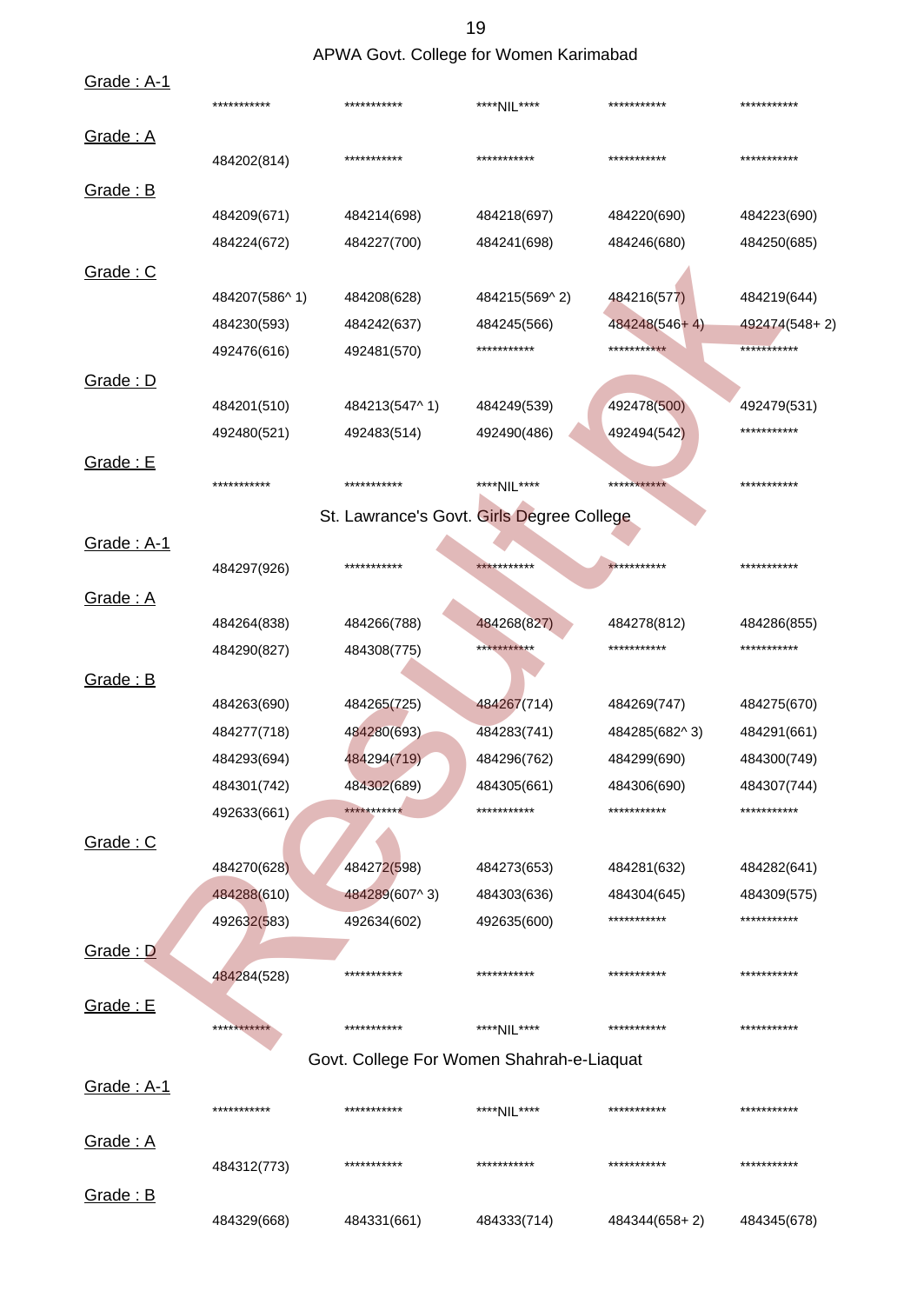APWA Govt. College for Women Karimabad

| <b>Grade: A-1</b>        | ***********   | ***********   | ****NIL****                               | ***********   | ***********   |
|--------------------------|---------------|---------------|-------------------------------------------|---------------|---------------|
| Grade: A                 | 484202(814)   | ***********   | ***********                               | ***********   | ***********   |
| Grade: B                 |               |               |                                           |               |               |
|                          | 484209(671)   | 484214(698)   | 484218(697)                               | 484220(690)   | 484223(690)   |
|                          | 484224(672)   | 484227(700)   | 484241(698)                               | 484246(680)   | 484250(685)   |
| Grade: C                 |               |               |                                           |               |               |
|                          | 484207(586^1) | 484208(628)   | 484215(569^2)                             | 484216(577)   | 484219(644)   |
|                          | 484230(593)   | 484242(637)   | 484245(566)                               | 484248(546+4) | 492474(548+2) |
|                          | 492476(616)   | 492481(570)   | ***********                               | ***********   | ***********   |
| Grade: D                 |               |               |                                           |               |               |
|                          | 484201(510)   | 484213(547^1) | 484249(539)                               | 492478(500)   | 492479(531)   |
|                          | 492480(521)   | 492483(514)   | 492490(486)                               | 492494(542)   | ***********   |
| Grade: E                 |               |               |                                           |               |               |
|                          | ***********   | ***********   | ****NIL****                               | ***********   | ***********   |
|                          |               |               | St. Lawrance's Govt. Girls Degree College |               |               |
| <b>Grade: A-1</b>        |               |               |                                           |               |               |
|                          | 484297(926)   | ***********   | ***********                               | ***********   | ***********   |
| Grade: A                 |               |               |                                           |               |               |
|                          | 484264(838)   | 484266(788)   | 484268(827)                               | 484278(812)   | 484286(855)   |
|                          | 484290(827)   | 484308(775)   | ***********                               | ***********   | ***********   |
| Grade: B                 |               |               |                                           |               |               |
|                          | 484263(690)   | 484265(725)   | 484267(714)                               | 484269(747)   | 484275(670)   |
|                          | 484277(718)   | 484280(693)   | 484283(741)                               | 484285(682^3) | 484291(661)   |
|                          | 484293(694)   | 484294(719)   | 484296(762)                               | 484299(690)   | 484300(749)   |
|                          | 484301(742)   | 484302(689)   | 484305(661)                               | 484306(690)   | 484307(744)   |
|                          | 492633(661)   | ***********   | ***********                               | ***********   | ***********   |
| Grade: C                 |               |               |                                           |               |               |
|                          | 484270(628)   | 484272(598)   | 484273(653)                               | 484281(632)   | 484282(641)   |
|                          | 484288(610)   | 484289(607^3) | 484303(636)                               | 484304(645)   | 484309(575)   |
|                          | 492632(583)   | 492634(602)   | 492635(600)                               | ***********   | ***********   |
| <b>Grade: D</b>          |               |               |                                           |               |               |
|                          | 484284(528)   | ***********   | ***********                               | ***********   | ***********   |
| Grade: E                 |               |               |                                           |               |               |
|                          | ***********   | ***********   | ****NIL****                               | ***********   | ***********   |
|                          |               |               | Govt. College For Women Shahrah-e-Liaquat |               |               |
| <u><b>Grade: A-1</b></u> |               |               |                                           |               |               |
|                          | ***********   | ***********   | ****NIL****                               | ***********   | ***********   |
| Grade: A                 |               |               |                                           |               |               |
|                          | 484312(773)   | ***********   | ***********                               | ***********   | ***********   |
| Grade: B                 |               |               |                                           |               |               |
|                          | 484329(668)   | 484331(661)   | 484333(714)                               | 484344(658+2) | 484345(678)   |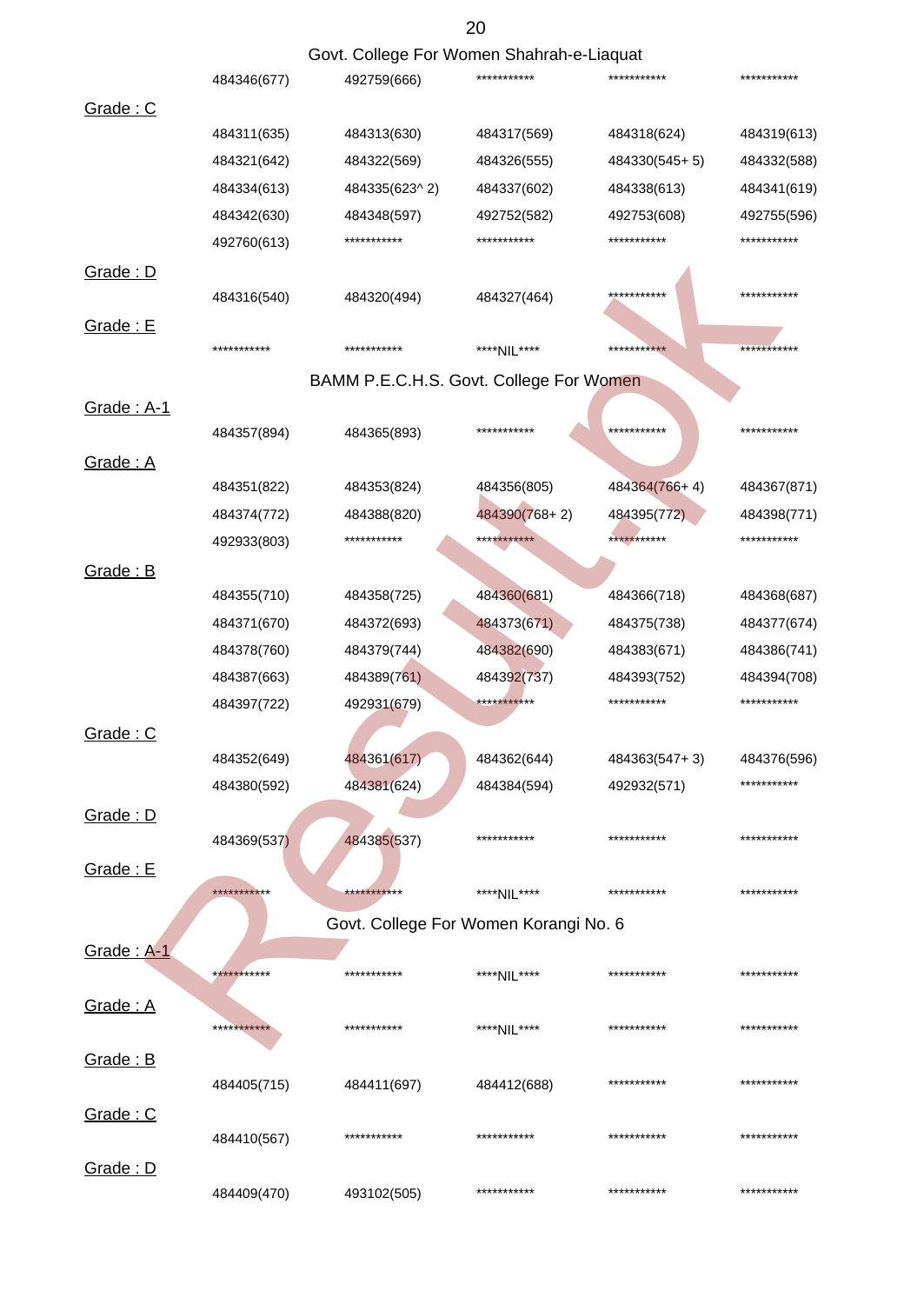|                          |             |                                           | 20            |               |             |
|--------------------------|-------------|-------------------------------------------|---------------|---------------|-------------|
|                          |             | Govt. College For Women Shahrah-e-Liaquat |               |               |             |
|                          | 484346(677) | 492759(666)                               | ***********   | ***********   | *********** |
| Grade: C                 |             |                                           |               |               |             |
|                          | 484311(635) | 484313(630)                               | 484317(569)   | 484318(624)   | 484319(613) |
|                          | 484321(642) | 484322(569)                               | 484326(555)   | 484330(545+5) | 484332(588) |
|                          | 484334(613) | 484335(623^2)                             | 484337(602)   | 484338(613)   | 484341(619) |
|                          | 484342(630) | 484348(597)                               | 492752(582)   | 492753(608)   | 492755(596) |
|                          | 492760(613) | ***********                               | ***********   | ***********   | *********** |
| Grade: D                 |             |                                           |               |               |             |
|                          | 484316(540) | 484320(494)                               | 484327(464)   | ***********   | *********** |
| Grade: E                 |             |                                           |               |               |             |
|                          | *********** | ***********                               | ****NIL****   | ***********   | *********** |
|                          |             | BAMM P.E.C.H.S. Govt. College For Women   |               |               |             |
| Grade: A-1               |             |                                           |               |               |             |
|                          | 484357(894) | 484365(893)                               | ***********   | ***********   | *********** |
| Grade: A                 |             |                                           |               |               |             |
|                          | 484351(822) | 484353(824)                               | 484356(805)   | 484364(766+4) | 484367(871) |
|                          | 484374(772) | 484388(820)                               | 484390(768+2) | 484395(772)   | 484398(771) |
|                          | 492933(803) | ***********                               | ***********   | ***********   | *********** |
| Grade: B                 |             |                                           |               |               |             |
|                          | 484355(710) | 484358(725)                               | 484360(681)   | 484366(718)   | 484368(687) |
|                          | 484371(670) | 484372(693)                               | 484373(671)   | 484375(738)   | 484377(674) |
|                          | 484378(760) | 484379(744)                               | 484382(690)   | 484383(671)   | 484386(741) |
|                          | 484387(663) | 484389(761)                               | 484392(737)   | 484393(752)   | 484394(708) |
|                          | 484397(722) | 492931(679)                               | ***********   | ***********   | *********** |
| Grade: C                 |             |                                           |               |               |             |
|                          | 484352(649) | 484361(617)                               | 484362(644)   | 484363(547+3) | 484376(596) |
|                          | 484380(592) | 484381(624)                               | 484384(594)   | 492932(571)   | *********** |
|                          |             |                                           |               |               |             |
| Grade: D                 | 484369(537) | 484385(537)                               | ***********   | ***********   | *********** |
|                          |             |                                           |               |               |             |
| <b>Grade: E</b>          | *********** | ***********                               | ****NIL****   | ***********   | *********** |
|                          |             |                                           |               |               |             |
|                          |             | Govt. College For Women Korangi No. 6     |               |               |             |
| <u><b>Grade: A-1</b></u> | *********** | ***********                               |               | ***********   | *********** |
|                          |             |                                           | ****NIL****   |               |             |
| Grade: A                 |             | ***********                               |               | ***********   | *********** |
|                          | *********** |                                           | ****NII ****  |               |             |
| Grade: B                 |             |                                           |               |               |             |
|                          | 484405(715) | 484411(697)                               | 484412(688)   | ***********   | *********** |
| Grade: C                 |             |                                           |               |               |             |
|                          | 484410(567) | ***********                               | ***********   | ***********   | *********** |
| Grade: D                 |             |                                           |               |               |             |
|                          | 484409(470) | 493102(505)                               | ***********   | ***********   | *********** |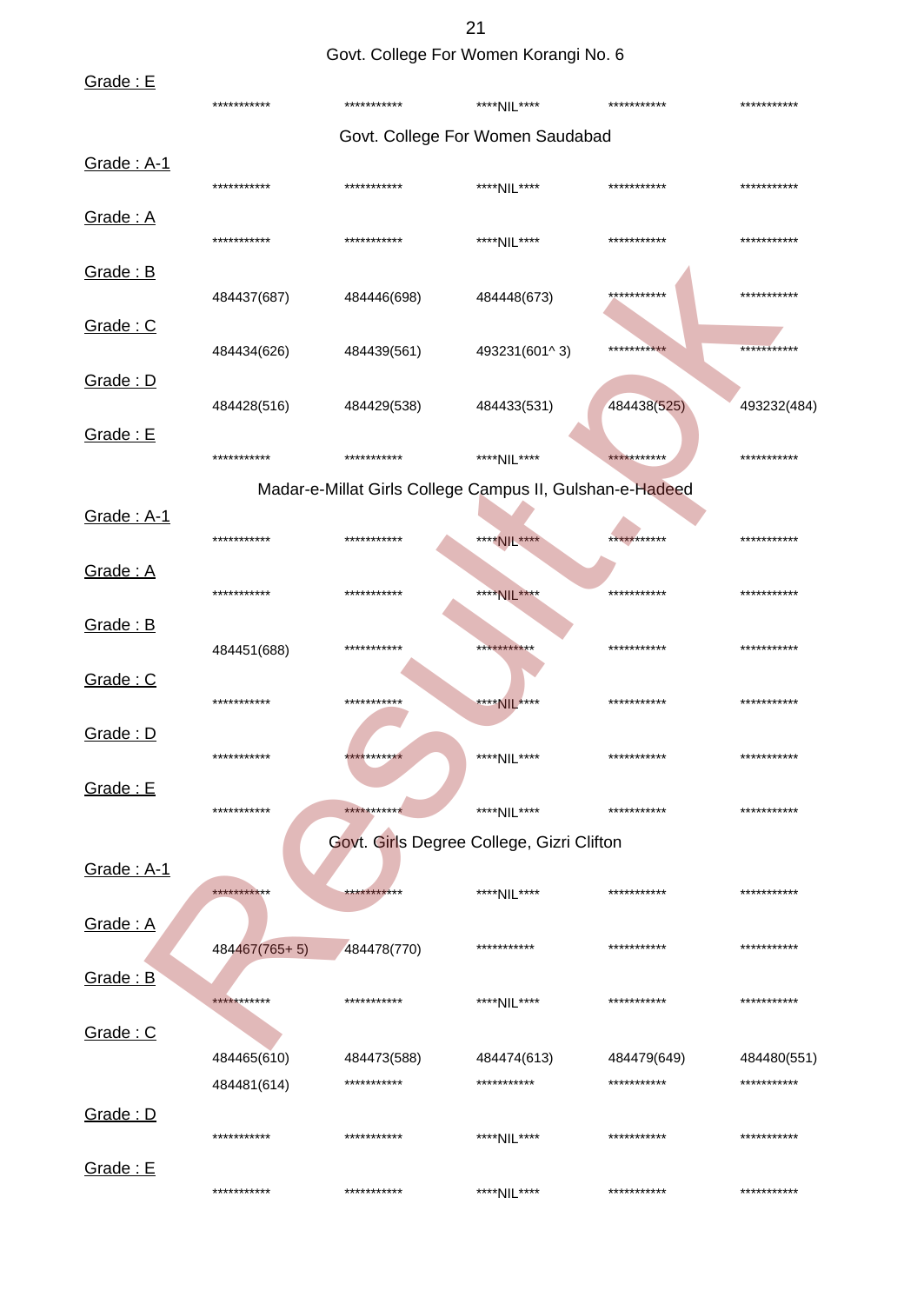Govt. College For Women Korangi No. 6

| Grade: E   |               |                                                          |                                  |             |             |
|------------|---------------|----------------------------------------------------------|----------------------------------|-------------|-------------|
|            | ***********   | ***********                                              | ****NIL****                      | *********** | *********** |
|            |               |                                                          | Govt. College For Women Saudabad |             |             |
| Grade: A-1 | ***********   | ***********                                              | ****NIL****                      | *********** | *********** |
| Grade: A   | ***********   | ***********                                              | ****NIL****                      | *********** | *********** |
| Grade: B   | 484437(687)   | 484446(698)                                              | 484448(673)                      | *********** | *********** |
| Grade: C   | 484434(626)   | 484439(561)                                              | 493231(601^3)                    | *********** | *********** |
| Grade: D   | 484428(516)   | 484429(538)                                              | 484433(531)                      | 484438(525) | 493232(484) |
| Grade: E   | ***********   | ***********                                              | ****NIL****                      | *********** | *********** |
|            |               | Madar-e-Millat Girls College Campus II, Gulshan-e-Hadeed |                                  |             |             |
| Grade: A-1 | ***********   | ***********                                              | ****NIL****                      | *********** | *********** |
| Grade: A   | ***********   | ***********                                              | ****NIL****                      | *********** | *********** |
| Grade: B   | 484451(688)   | ***********                                              | ***********                      | *********** | *********** |
| Grade: C   | ***********   | ***********                                              | ****NIL****                      | *********** | *********** |
| Grade: D   | ***********   | ***********                                              | ****NIL****                      | *********** | *********** |
| Grade: E   | ***********   | ***********                                              | ****NIL****                      | *********** | *********** |
| Grade: A-1 |               | Govt. Girls Degree College, Gizri Clifton                |                                  |             |             |
| Grade: A   | ***********   | ***********                                              | ****NIL****                      | *********** | *********** |
|            | 484467(765+5) | 484478(770)                                              | ***********                      | *********** | *********** |
| Grade: B   | ***********   | ***********                                              | ****NIL****                      | *********** | *********** |
| Grade: C   | 484465(610)   | 484473(588)                                              | 484474(613)                      | 484479(649) | 484480(551) |
|            | 484481(614)   | ***********                                              | ***********                      | *********** | *********** |
| Grade: D   | ***********   | ***********                                              | ****NIL****                      | *********** | *********** |
| Grade: E   | ***********   | ***********                                              | ****NIL****                      | *********** | *********** |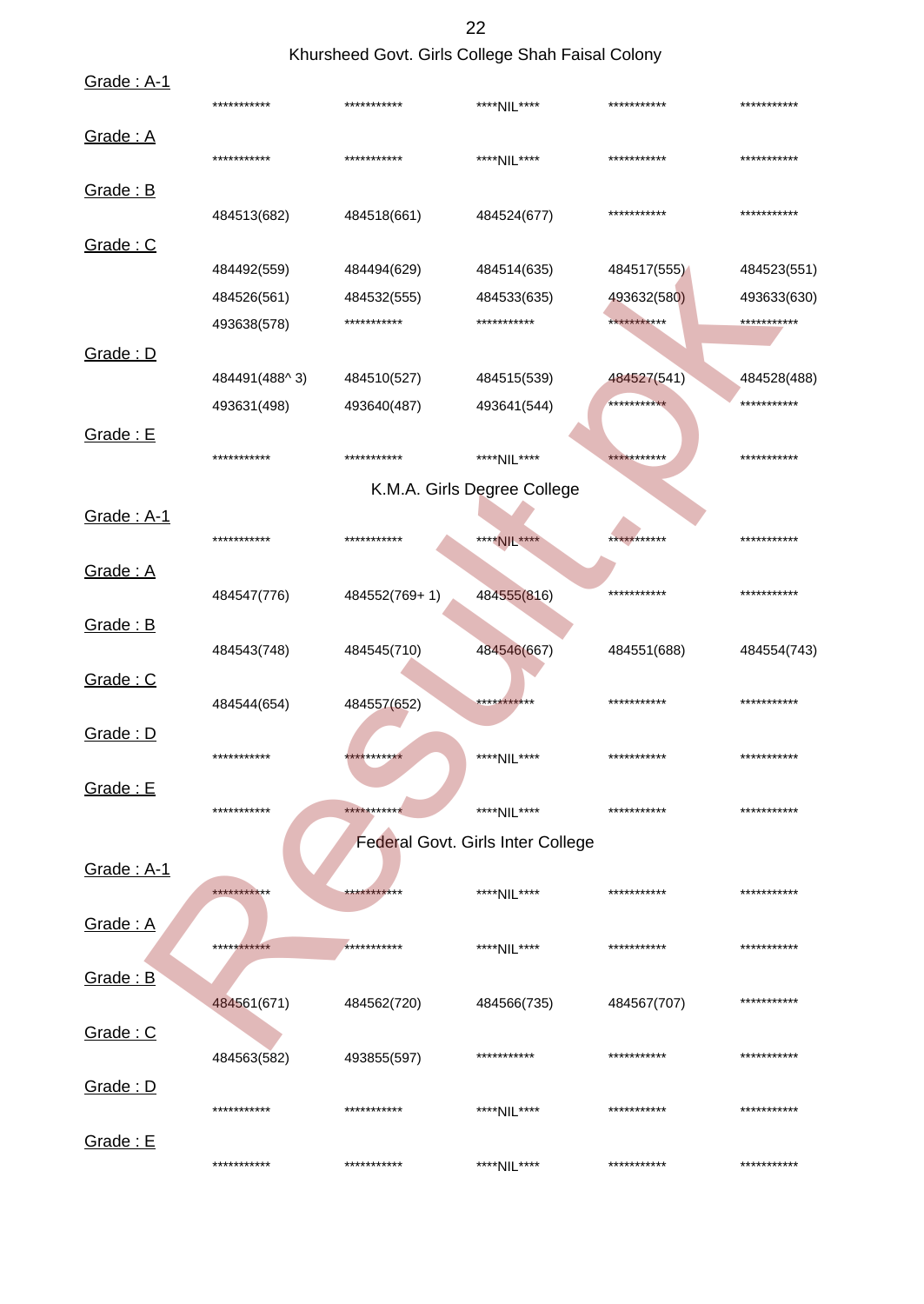# Khursheed Govt. Girls College Shah Faisal Colony

| Grade: A-1 | ***********   | ***********   | ****NIL****                       | *********** | *********** |
|------------|---------------|---------------|-----------------------------------|-------------|-------------|
| Grade: A   | ***********   | ***********   | ****NIL****                       | *********** | *********** |
| Grade: B   |               |               |                                   |             |             |
|            | 484513(682)   | 484518(661)   | 484524(677)                       | *********** | *********** |
| Grade: C   |               |               |                                   |             |             |
|            | 484492(559)   | 484494(629)   | 484514(635)                       | 484517(555) | 484523(551) |
|            | 484526(561)   | 484532(555)   | 484533(635)                       | 493632(580) | 493633(630) |
|            | 493638(578)   | ***********   | ***********                       | *********** | *********** |
| Grade: D   |               |               |                                   |             |             |
|            | 484491(488^3) | 484510(527)   | 484515(539)                       | 484527(541) | 484528(488) |
|            | 493631(498)   | 493640(487)   | 493641(544)                       | *********** | *********** |
| Grade: E   |               |               |                                   |             |             |
|            | ***********   | ***********   | ****NIL****                       | *********** | *********** |
|            |               |               | K.M.A. Girls Degree College       |             |             |
| Grade: A-1 |               |               |                                   |             |             |
|            | ***********   | ***********   | ****NIL****                       | *********** | *********** |
| Grade: A   |               |               |                                   |             |             |
|            | 484547(776)   | 484552(769+1) | 484555(816)                       | *********** | *********** |
| Grade: B   |               |               |                                   |             |             |
|            | 484543(748)   | 484545(710)   | 484546(667)                       | 484551(688) | 484554(743) |
|            |               |               |                                   |             |             |
| Grade: C   |               |               | ***********                       | *********** | *********** |
|            | 484544(654)   | 484557(652)   |                                   |             |             |
| Grade: D   | ***********   | ***********   |                                   | *********** | *********** |
|            |               |               | ****NIL****                       |             |             |
| Grade: E   |               |               |                                   |             |             |
|            | ***********   | ***********   | ****NIL****                       | *********** | *********** |
|            |               |               | Federal Govt. Girls Inter College |             |             |
| Grade: A-1 |               |               |                                   |             |             |
|            | ***********   | ***********   | ****NIL****                       | *********** | *********** |
| Grade: A   |               |               |                                   |             |             |
|            | ***********   | ***********   | ****NIL****                       | *********** | *********** |
| Grade: B   |               |               |                                   |             |             |
|            | 484561(671)   | 484562(720)   | 484566(735)                       | 484567(707) | *********** |
| Grade: C   |               |               |                                   |             |             |
|            | 484563(582)   | 493855(597)   | ***********                       | *********** | *********** |
| Grade: D   |               |               |                                   |             |             |
|            | ***********   | ***********   | ****NIL****                       | *********** | *********** |
| Grade: E   |               |               |                                   |             |             |
|            | ***********   | ***********   | ****NIL****                       | *********** | *********** |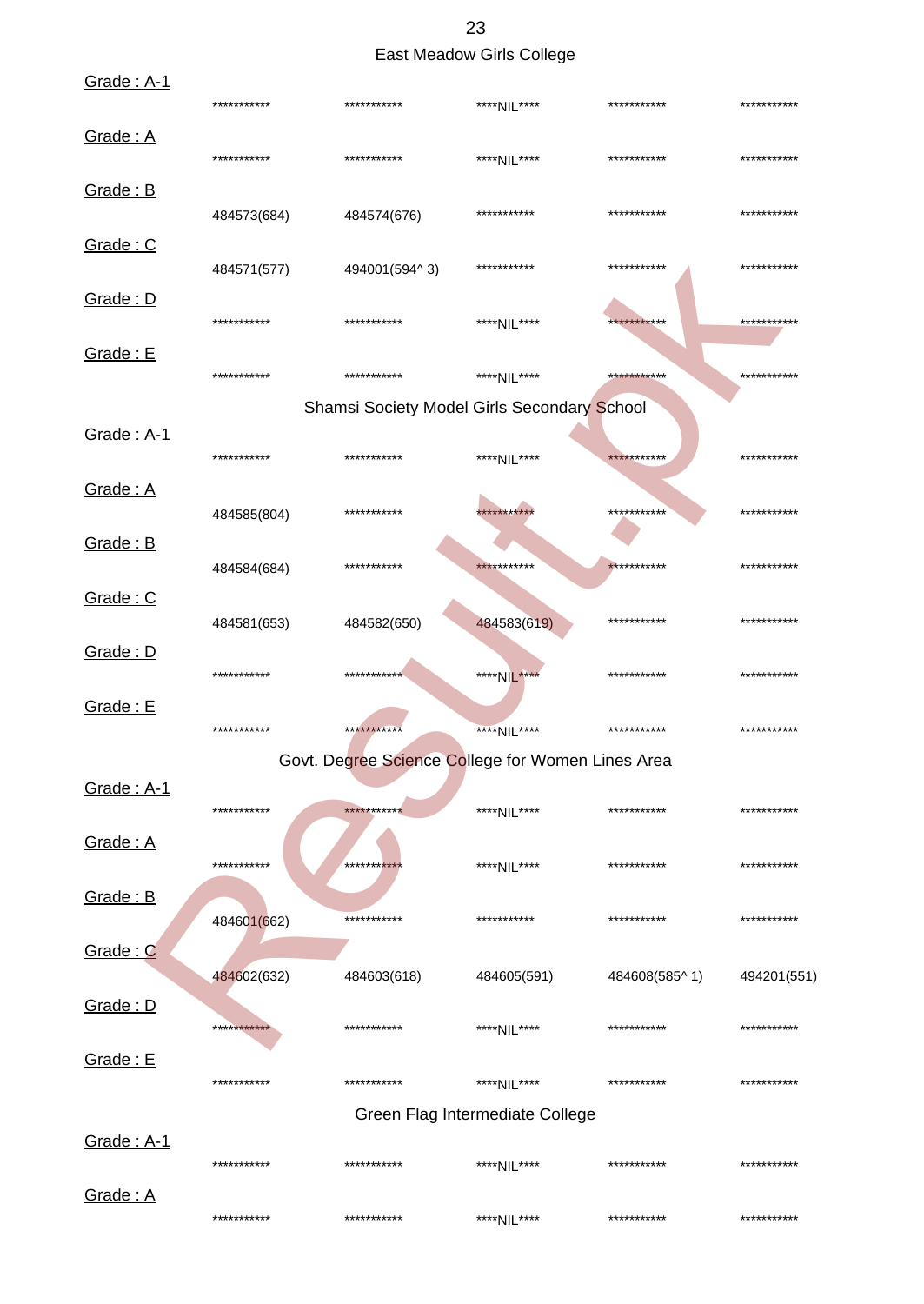23 East Meadow Girls College

| Grade: A-1 | *********** | ***********                                        | ****NIL****                     | ***********   | *********** |
|------------|-------------|----------------------------------------------------|---------------------------------|---------------|-------------|
| Grade: A   | *********** | ***********                                        | ****NIL****                     | ***********   | *********** |
| Grade: B   | 484573(684) | 484574(676)                                        | ***********                     | ***********   | *********** |
| Grade: C   | 484571(577) | 494001(594^3)                                      | ***********                     | ***********   | *********** |
| Grade: D   | *********** | ***********                                        | ****NIL****                     | ***********   | *********** |
| Grade: E   | *********** | ***********                                        | ****NIL****                     | ***********   | *********** |
|            |             | <b>Shamsi Society Model Girls Secondary School</b> |                                 |               |             |
| Grade: A-1 | *********** | ***********                                        | ****NII ****                    | ***********   | *********** |
| Grade: A   | 484585(804) | ***********                                        | ***********                     | ***********   | *********** |
| Grade: B   | 484584(684) | ***********                                        | ***********                     | ***********   | *********** |
| Grade: C   | 484581(653) | 484582(650)                                        | 484583(619)                     | ***********   | *********** |
| Grade: D   | *********** | ***********                                        | ****NIL****                     | ***********   | *********** |
| Grade: E   | *********** | ***********                                        | ****NIL****                     | ***********   | *********** |
|            |             | Govt. Degree Science College for Women Lines Area  |                                 |               |             |
| Grade: A-1 | *********** | ***********                                        | ****NIL****                     | ***********   | *********** |
| Grade: A   | *********** | **********                                         | ****NIL****                     | ***********   | *********** |
| Grade: B   | 484601(662) | ***********                                        | ***********                     | ***********   | *********** |
| Grade: C   | 484602(632) | 484603(618)                                        | 484605(591)                     | 484608(585^1) | 494201(551) |
| Grade: D   | *********** | ***********                                        | ****NIL****                     | ***********   | *********** |
| Grade: E   | *********** | ***********                                        | ****NIL****                     | ***********   | *********** |
|            |             |                                                    | Green Flag Intermediate College |               |             |
| Grade: A-1 | *********** | ***********                                        | ****NIL****                     | ***********   | *********** |
| Grade: A   | *********** | ***********                                        | ****NIL****                     | ***********   | *********** |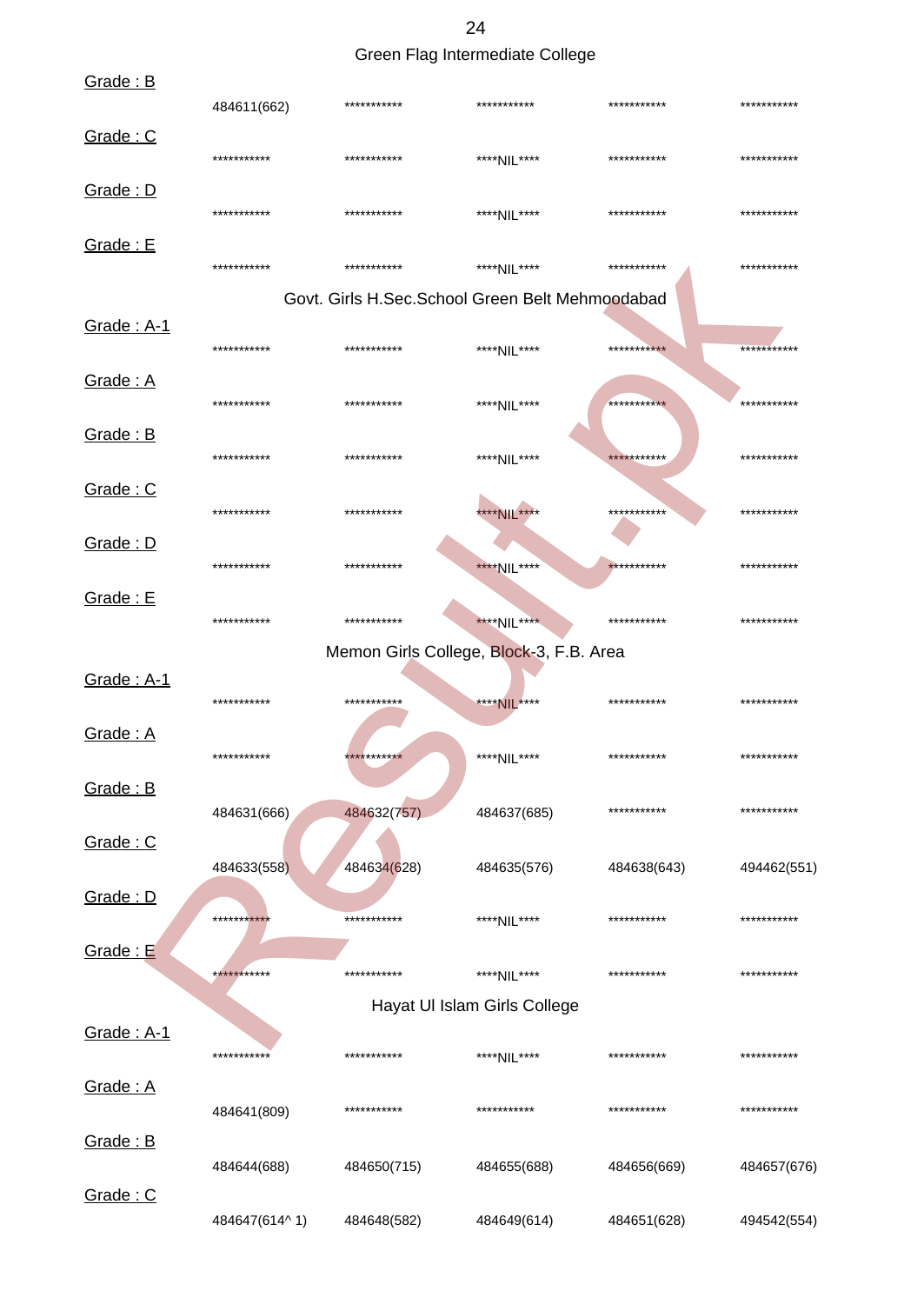24

Green Flag Intermediate College

| Grade: B                 | 484611(662)   | *********** | ***********                                     | *********** | *********** |
|--------------------------|---------------|-------------|-------------------------------------------------|-------------|-------------|
| Grade: C                 | ***********   | *********** | ****NIL****                                     | *********** | *********** |
| Grade: D                 | ***********   | *********** | ****NIL****                                     | *********** | *********** |
| Grade: E                 | ***********   | *********** | ****NII ****                                    | *********** | *********** |
|                          |               |             | Govt. Girls H.Sec.School Green Belt Mehmoodabad |             |             |
| Grade: A-1               | ***********   | *********** | ****NIL****                                     | *********** | *********** |
| Grade: A                 | ***********   | *********** | ****NIL****                                     | *********** | *********** |
| Grade: B                 | ***********   | *********** | ****NIL****                                     | *********** | *********** |
| Grade: C                 | ***********   | *********** | **** NIL ****                                   | *********** | *********** |
| Grade: D                 | ***********   | *********** | ****NIL****                                     | *********** | *********** |
| Grade: E                 | ***********   | *********** | ****NIL****                                     | *********** | *********** |
|                          |               |             | Memon Girls College, Block-3, F.B. Area         |             |             |
| <b>Grade: A-1</b>        | ***********   | *********** | ****NIL****                                     | *********** | *********** |
| <u>Grade: A</u>          | ***********   | *********** | ****NIL****                                     | *********** | *********** |
| Grade: B                 |               |             |                                                 |             |             |
| Grade: C                 | 484631(666)   | 484632(757) | 484637(685)                                     | *********** | *********** |
|                          | 484633(558)   | 484634(628) | 484635(576)                                     | 484638(643) | 494462(551) |
| Grade: D                 | ***********   | *********** | ****NIL****                                     | *********** | *********** |
| Grade: E                 | ***********   | *********** | ****NIL****                                     | *********** | *********** |
|                          |               |             | Hayat UI Islam Girls College                    |             |             |
| <u><b>Grade: A-1</b></u> | ***********   | *********** | ****NIL****                                     | *********** | *********** |
| Grade: A                 | 484641(809)   | *********** | ***********                                     | *********** | *********** |
| Grade: B                 | 484644(688)   | 484650(715) | 484655(688)                                     | 484656(669) | 484657(676) |
| Grade: C                 | 484647(614^1) | 484648(582) | 484649(614)                                     | 484651(628) | 494542(554) |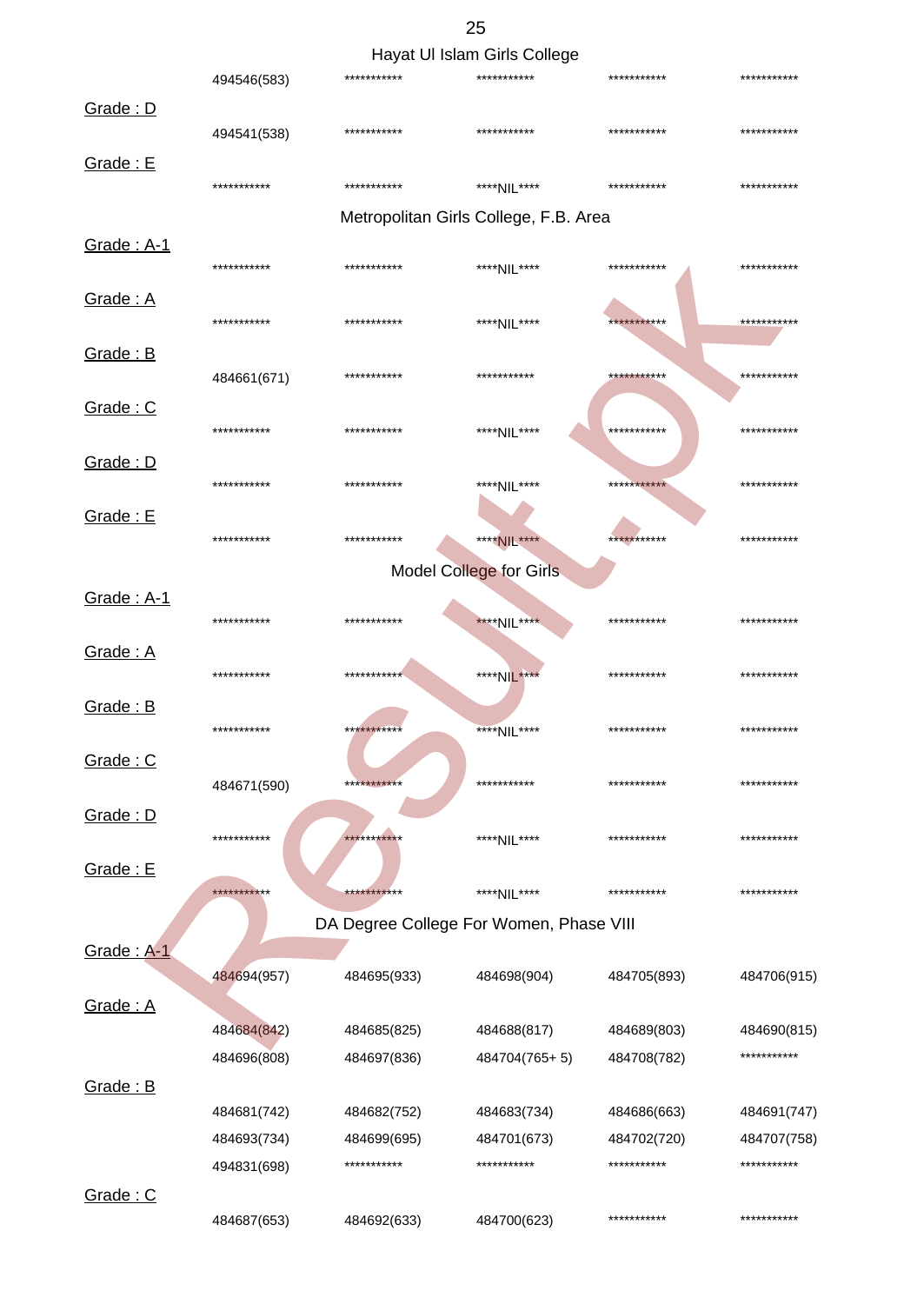|            |             |             | Hayat UI Islam Girls College            |             |             |
|------------|-------------|-------------|-----------------------------------------|-------------|-------------|
|            | 494546(583) | *********** | ***********                             | *********** | *********** |
| Grade: D   |             |             |                                         |             |             |
|            | 494541(538) | *********** | ***********                             | *********** | *********** |
| Grade: E   | *********** | *********** | ****NII ****                            | *********** | *********** |
|            |             |             | Metropolitan Girls College, F.B. Area   |             |             |
| Grade: A-1 |             |             |                                         |             |             |
|            | *********** | *********** | ****NIL****                             | *********** | *********** |
| Grade: A   |             |             |                                         |             |             |
|            | *********** | *********** | ****NIL****                             | *********** | *********** |
| Grade: B   |             |             |                                         |             |             |
|            | 484661(671) | *********** | ***********                             | *********** | *********** |
| Grade: C   |             |             |                                         |             |             |
|            | *********** | *********** | ****NIL****                             | *********** | *********** |
| Grade: D   |             |             |                                         |             |             |
|            | *********** | *********** | ****NIL****                             | *********** | *********** |
| Grade: E   |             |             |                                         |             |             |
|            | *********** | *********** | ****NIL****                             | *********** | *********** |
|            |             |             | <b>Model College for Girls</b>          |             |             |
| Grade: A-1 |             |             |                                         |             |             |
|            | *********** | *********** | ****NIL****                             | *********** | *********** |
| Grade: A   |             |             |                                         |             |             |
|            | *********** | *********** | ****NIL****                             | *********** | *********** |
| Grade: B   |             |             |                                         |             |             |
|            | *********** | *********** | ****NIL****                             | *********** | *********** |
| Grade: C   |             |             |                                         |             |             |
|            | 484671(590) | *********** | ***********                             | *********** | *********** |
| Grade: D   |             |             |                                         |             |             |
|            | *********** | *********** | ****NIL****                             | *********** | *********** |
| Grade: E   |             |             |                                         |             |             |
|            | *********** | *********** | ****NIL****                             | *********** | *********** |
|            |             |             | DA Degree College For Women, Phase VIII |             |             |
| Grade: A-1 |             |             |                                         |             |             |
|            | 484694(957) | 484695(933) | 484698(904)                             | 484705(893) | 484706(915) |
| Grade: A   |             |             |                                         |             |             |
|            | 484684(842) | 484685(825) | 484688(817)                             | 484689(803) | 484690(815) |
|            | 484696(808) | 484697(836) | 484704(765+5)                           | 484708(782) | *********** |
| Grade: B   |             |             |                                         |             |             |
|            | 484681(742) | 484682(752) | 484683(734)                             | 484686(663) | 484691(747) |
|            | 484693(734) | 484699(695) | 484701(673)                             | 484702(720) | 484707(758) |
|            | 494831(698) | *********** | ***********                             | *********** | *********** |
|            |             |             |                                         |             |             |

484687(653) 484692(633) 484700(623) \*\*\*\*\*\*\*\*\*\*\* \*\*\*\*\*\*\*\*\*\*\*

Grade : C

25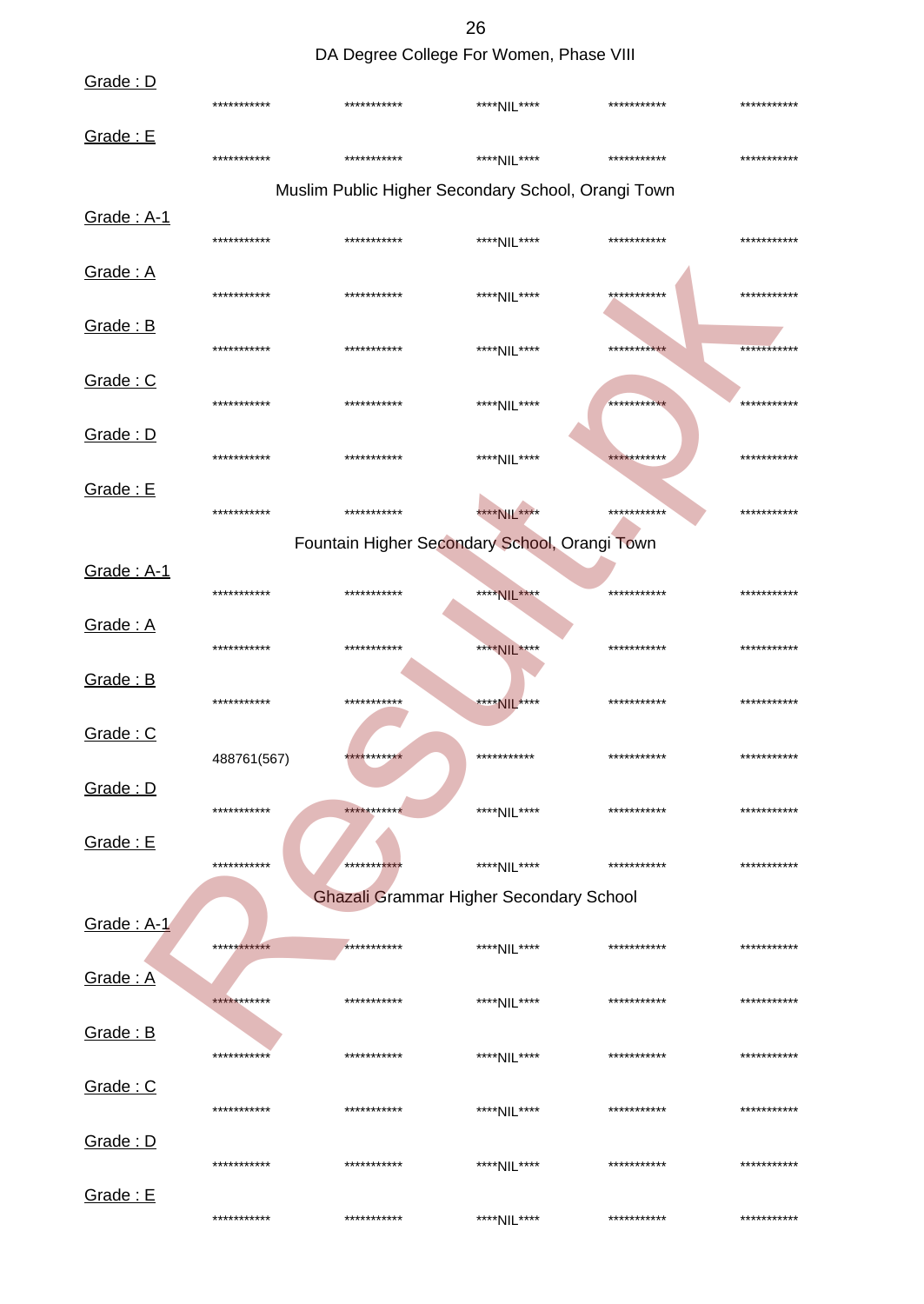26 DA Degree College For Women, Phase VIII

| Grade: D          | *********** | ***********  | ****NIL****                                        | *********** | *********** |
|-------------------|-------------|--------------|----------------------------------------------------|-------------|-------------|
| Grade: E          |             |              |                                                    |             |             |
|                   | *********** | ***********  | ****NIL****                                        | *********** | *********** |
|                   |             |              | Muslim Public Higher Secondary School, Orangi Town |             |             |
| Grade: A-1        | *********** | ***********  | ****NIL****                                        | *********** | *********** |
| Grade: A          | *********** | ***********  | ****NIL****                                        | *********** | *********** |
| Grade: B          | *********** | ***********  | ****NIL****                                        | *********** | *********** |
| Grade: C          |             |              |                                                    |             |             |
|                   | *********** | ***********  | ****NIL****                                        | *********** | *********** |
| Grade: D          | *********** | ***********  | ****NIL****                                        | *********** | *********** |
| Grade: E          | *********** | ***********  | **** NIL ****                                      | *********** | *********** |
|                   |             |              | Fountain Higher Secondary School, Orangi Town      |             |             |
| Grade: A-1        | *********** | ***********  | ****NIL****                                        | *********** | *********** |
| Grade: A          |             |              |                                                    |             |             |
|                   | *********** | ***********  | ****NIL****                                        | *********** | *********** |
| Grade: B          | *********** | ***********  | ****NIL****                                        | *********** | *********** |
| Grade: C          |             |              |                                                    |             |             |
| Grade: D          | 488761(567) | ***********  | ***********                                        | *********** | *********** |
|                   | *********** | ***********  | ****NIL****                                        | *********** | *********** |
| Grade: E          | *********** | ***********  | ****NIL****                                        | *********** | *********** |
|                   |             |              | Ghazali Grammar Higher Secondary School            |             |             |
| <b>Grade: A-1</b> | *********** | ************ |                                                    | *********** | *********** |
|                   |             |              | ****NIL****                                        |             |             |
| Grade: A          | *********** | ***********  | ****NIL****                                        | *********** | *********** |
| Grade: B          | *********** | ***********  | ****NIL****                                        | *********** | *********** |
| Grade: C          |             |              |                                                    |             |             |
|                   | *********** | ***********  | ****NIL****                                        | *********** | *********** |
| Grade: D          | *********** | ***********  | ****NIL****                                        | *********** | *********** |
| Grade: E          | *********** | ***********  | ****NIL****                                        | *********** | *********** |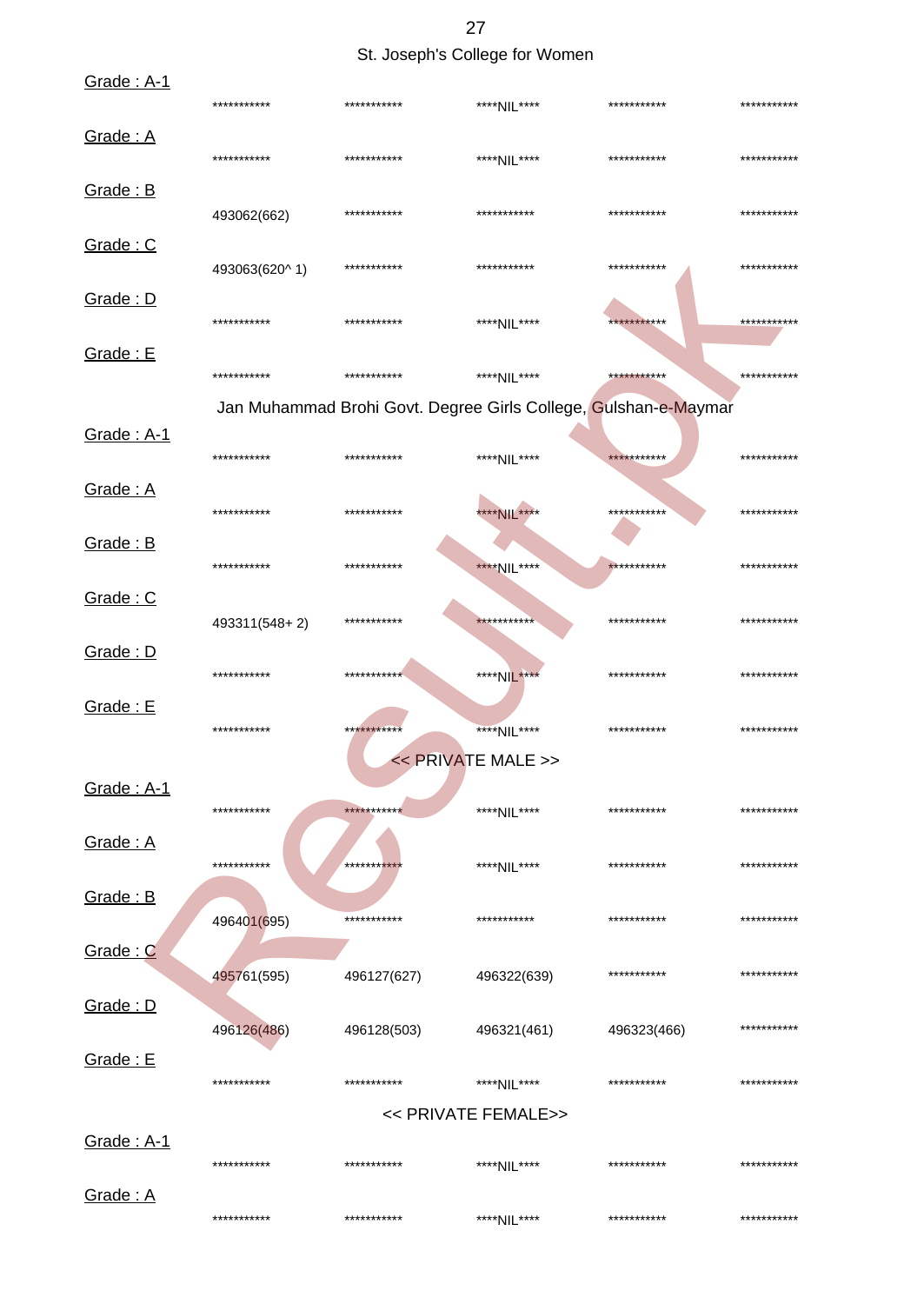27

## St. Joseph's College for Women

| Grade: A-1 | ***********   | *********** | ****NIL****         | ***********                                                     | *********** |
|------------|---------------|-------------|---------------------|-----------------------------------------------------------------|-------------|
| Grade: A   | ***********   | *********** | ****NIL****         | ***********                                                     | *********** |
| Grade: B   | 493062(662)   | *********** | ***********         | ***********                                                     | *********** |
| Grade: C   | 493063(620^1) | *********** | ***********         | ***********                                                     | *********** |
| Grade: D   | ***********   | *********** | ****NIL****         | ***********                                                     | *********** |
| Grade: E   | ***********   | *********** | ****NII ****        | ***********                                                     | *********** |
|            |               |             |                     | Jan Muhammad Brohi Govt. Degree Girls College, Gulshan-e-Maymar |             |
| Grade: A-1 | ***********   | *********** | ****NIL****         | ***********                                                     | *********** |
| Grade: A   | ***********   | *********** | **** NIL ****       | ***********                                                     | *********** |
| Grade: B   | ***********   | *********** | ****NIL****         | ***********                                                     | *********** |
| Grade: C   | 493311(548+2) | *********** | ***********         | ***********                                                     | *********** |
| Grade: D   | ***********   | *********** | ****NIL****         | ***********                                                     | *********** |
| Grade: E   | ***********   | *********** | ****NIL****         | ***********                                                     | *********** |
|            |               |             | << PRIVATE MALE >>  |                                                                 |             |
| Grade: A-1 | ***********   | *********** | ****NII ****        | ***********                                                     | *********** |
| Grade: A   | ***********   | **********  | ****NIL****         | ***********                                                     | *********** |
| Grade: B   | 496401(695)   | *********** | ***********         | ***********                                                     | *********** |
| Grade: C   | 495761(595)   | 496127(627) | 496322(639)         | ***********                                                     | *********** |
| Grade: D   | 496126(486)   | 496128(503) | 496321(461)         | 496323(466)                                                     | *********** |
| Grade: E   | ***********   | *********** | ****NIL****         | ***********                                                     | *********** |
|            |               |             | << PRIVATE FEMALE>> |                                                                 |             |
| Grade: A-1 | ***********   | *********** | ****NII ****        | ***********                                                     | *********** |
| Grade: A   | ***********   | *********** | ****NIL****         | ***********                                                     | *********** |